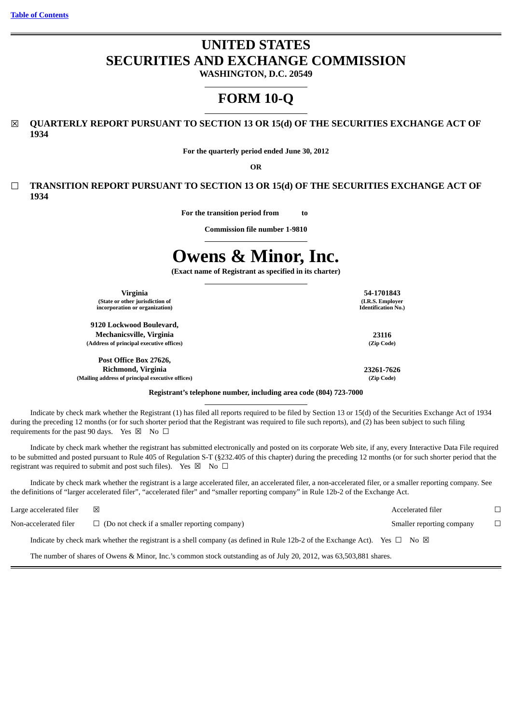# **UNITED STATES SECURITIES AND EXCHANGE COMMISSION**

**WASHINGTON, D.C. 20549**

## **FORM 10-Q**

☒ **QUARTERLY REPORT PURSUANT TO SECTION 13 OR 15(d) OF THE SECURITIES EXCHANGE ACT OF 1934**

**For the quarterly period ended June 30, 2012**

**OR**

☐ **TRANSITION REPORT PURSUANT TO SECTION 13 OR 15(d) OF THE SECURITIES EXCHANGE ACT OF 1934**

**For the transition period from to** 

**Commission file number 1-9810**

# **Owens & Minor, Inc.**

**(Exact name of Registrant as specified in its charter)**

| Virginia<br>(State or other jurisdiction of<br>incorporation or organization) | 54-1701843<br>(I.R.S. Employer<br><b>Identification No.)</b> |
|-------------------------------------------------------------------------------|--------------------------------------------------------------|
| 9120 Lockwood Boulevard,                                                      |                                                              |
| Mechanicsville, Virginia                                                      | 23116                                                        |
| (Address of principal executive offices)                                      | (Zip Code)                                                   |
| Post Office Box 27626,                                                        |                                                              |
| Richmond, Virginia                                                            | 23261-7626                                                   |
| (Mailing address of principal executive offices)                              | (Zip Code)                                                   |
|                                                                               |                                                              |

#### **Registrant's telephone number, including area code (804) 723-7000**

Indicate by check mark whether the Registrant (1) has filed all reports required to be filed by Section 13 or 15(d) of the Securities Exchange Act of 1934 during the preceding 12 months (or for such shorter period that the Registrant was required to file such reports), and (2) has been subject to such filing requirements for the past 90 days. Yes  $\boxtimes$  No  $\Box$ 

Indicate by check mark whether the registrant has submitted electronically and posted on its corporate Web site, if any, every Interactive Data File required to be submitted and posted pursuant to Rule 405 of Regulation S-T (§232.405 of this chapter) during the preceding 12 months (or for such shorter period that the registrant was required to submit and post such files). Yes  $\boxtimes$  No  $\Box$ 

Indicate by check mark whether the registrant is a large accelerated filer, an accelerated filer, a non-accelerated filer, or a smaller reporting company. See the definitions of "larger accelerated filer", "accelerated filer" and "smaller reporting company" in Rule 12b-2 of the Exchange Act.

| Large accelerated filer | ⊠                                                                                                                                          | Accelerated filer         |  |
|-------------------------|--------------------------------------------------------------------------------------------------------------------------------------------|---------------------------|--|
| Non-accelerated filer   | $\Box$ (Do not check if a smaller reporting company)                                                                                       | Smaller reporting company |  |
|                         | Indicate by check mark whether the registrant is a shell company (as defined in Rule 12b-2 of the Exchange Act). Yes $\Box$ No $\boxtimes$ |                           |  |

The number of shares of Owens & Minor, Inc.'s common stock outstanding as of July 20, 2012, was 63,503,881 shares.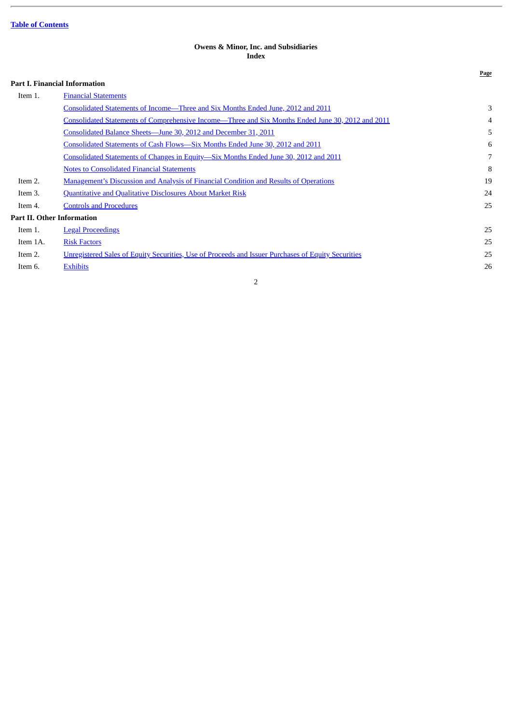### **Owens & Minor, Inc. and Subsidiaries Index**

### <span id="page-1-0"></span>**Part I. Financial Information**

| Item 1.                    | <b>Financial Statements</b>                                                                        |                |
|----------------------------|----------------------------------------------------------------------------------------------------|----------------|
|                            | Consolidated Statements of Income—Three and Six Months Ended June, 2012 and 2011                   | 3              |
|                            | Consolidated Statements of Comprehensive Income—Three and Six Months Ended June 30, 2012 and 2011  | 4              |
|                            | Consolidated Balance Sheets-June 30, 2012 and December 31, 2011                                    | 5              |
|                            | Consolidated Statements of Cash Flows-Six Months Ended June 30, 2012 and 2011                      | 6              |
|                            | Consolidated Statements of Changes in Equity—Six Months Ended June 30, 2012 and 2011               | $\overline{7}$ |
|                            | <b>Notes to Consolidated Financial Statements</b>                                                  | 8              |
| Item 2.                    | Management's Discussion and Analysis of Financial Condition and Results of Operations              | 19             |
| Item 3.                    | <b>Quantitative and Qualitative Disclosures About Market Risk</b>                                  | 24             |
| Item 4.                    | <b>Controls and Procedures</b>                                                                     | 25             |
| Part II. Other Information |                                                                                                    |                |
| Item 1.                    | <b>Legal Proceedings</b>                                                                           | 25             |
| Item 1A.                   | <b>Risk Factors</b>                                                                                | 25             |
| Item 2.                    | Unregistered Sales of Equity Securities, Use of Proceeds and Issuer Purchases of Equity Securities | 25             |
| Item 6.                    | <b>Exhibits</b>                                                                                    | 26             |

2

**Page**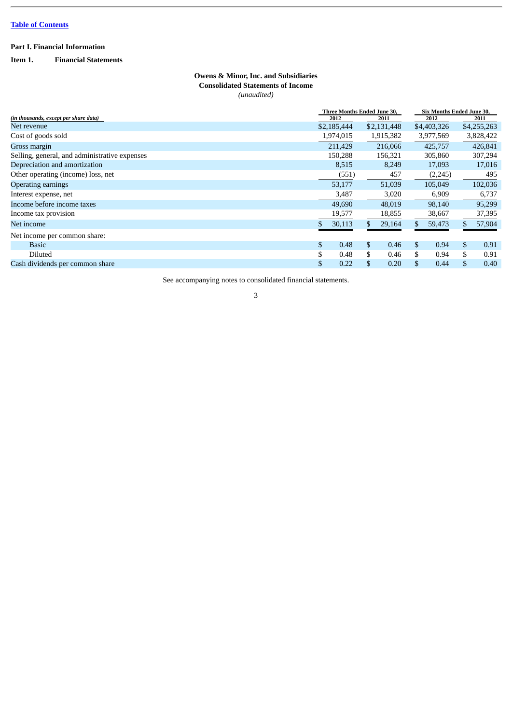### **Part I. Financial Information**

<span id="page-2-1"></span><span id="page-2-0"></span>**Item 1. Financial Statements**

### **Owens & Minor, Inc. and Subsidiaries Consolidated Statements of Income** *(unaudited)*

|                                               | Three Months Ended June 30, |              |             | <b>Six Months Ended June 30,</b> |
|-----------------------------------------------|-----------------------------|--------------|-------------|----------------------------------|
| (in thousands, except per share data)         | 2012                        | 2011         | 2012        | 2011                             |
| Net revenue                                   | \$2,185,444                 | \$2,131,448  | \$4,403,326 | \$4,255,263                      |
| Cost of goods sold                            | 1,974,015                   | 1,915,382    | 3,977,569   | 3,828,422                        |
| Gross margin                                  | 211,429                     | 216,066      | 425,757     | 426,841                          |
| Selling, general, and administrative expenses | 150,288                     | 156,321      | 305,860     | 307,294                          |
| Depreciation and amortization                 | 8,515                       | 8,249        | 17,093      | 17,016                           |
| Other operating (income) loss, net            | (551)                       | 457          | (2,245)     | 495                              |
| <b>Operating earnings</b>                     | 53,177                      | 51,039       | 105,049     | 102,036                          |
| Interest expense, net                         | 3,487                       | 3,020        | 6,909       | 6,737                            |
| Income before income taxes                    | 49,690                      | 48,019       | 98,140      | 95,299                           |
| Income tax provision                          | 19,577                      | 18,855       | 38,667      | 37,395                           |
| Net income                                    | 30,113<br>S.                | 29,164<br>S. | 59,473      | 57,904                           |
| Net income per common share:                  |                             |              |             |                                  |
| Basic                                         | $\mathbb{S}$<br>0.48        | \$<br>0.46   | \$<br>0.94  | \$<br>0.91                       |
| <b>Diluted</b>                                | \$<br>0.48                  | 0.46<br>S.   | \$<br>0.94  | \$<br>0.91                       |
| Cash dividends per common share               | \$<br>0.22                  | 0.20<br>\$   | \$<br>0.44  | \$<br>0.40                       |

See accompanying notes to consolidated financial statements.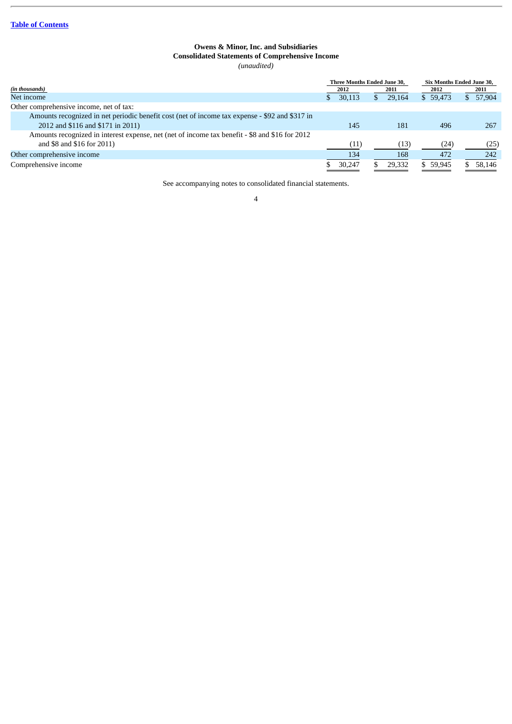### **Owens & Minor, Inc. and Subsidiaries Consolidated Statements of Comprehensive Income**

*(unaudited)*

<span id="page-3-0"></span>

|                                                                                                 | Three Months Ended June 30, |        | Six Months Ended June 30, |        |
|-------------------------------------------------------------------------------------------------|-----------------------------|--------|---------------------------|--------|
| (in thousands)                                                                                  | 2012                        | 2011   | 2012                      | 2011   |
| Net income                                                                                      | 30,113                      | 29,164 | \$59,473                  | 57,904 |
| Other comprehensive income, net of tax:                                                         |                             |        |                           |        |
| Amounts recognized in net periodic benefit cost (net of income tax expense - \$92 and \$317 in  |                             |        |                           |        |
| 2012 and \$116 and \$171 in 2011)                                                               | 145                         | 181    | 496                       | 267    |
| Amounts recognized in interest expense, net (net of income tax benefit - \$8 and \$16 for 2012) |                             |        |                           |        |
| and \$8 and \$16 for 2011)                                                                      | $\left(11\right)$           | (13)   | (24)                      | (25)   |
| Other comprehensive income                                                                      | 134                         | 168    | 472                       | 242    |
| Comprehensive income                                                                            | 30.247                      | 29.332 | \$59.945                  | 58,146 |

See accompanying notes to consolidated financial statements.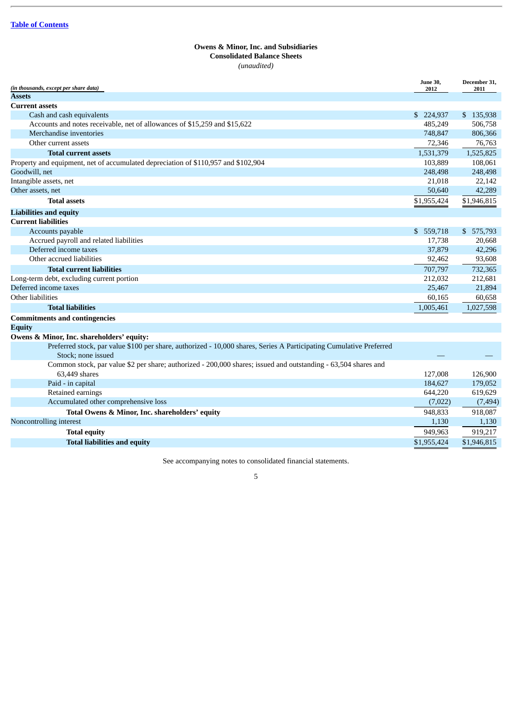### **Owens & Minor, Inc. and Subsidiaries Consolidated Balance Sheets**

*(unaudited)*

<span id="page-4-0"></span>

| (in thousands, except per share data)                                                                                                     | <b>June 30,</b><br>2012 | December 31,<br>2011 |
|-------------------------------------------------------------------------------------------------------------------------------------------|-------------------------|----------------------|
| Assets                                                                                                                                    |                         |                      |
| <b>Current assets</b>                                                                                                                     |                         |                      |
| Cash and cash equivalents                                                                                                                 | \$224,937               | \$135,938            |
| Accounts and notes receivable, net of allowances of \$15,259 and \$15,622                                                                 | 485,249                 | 506,758              |
| Merchandise inventories                                                                                                                   | 748,847                 | 806,366              |
| Other current assets                                                                                                                      | 72,346                  | 76,763               |
| <b>Total current assets</b>                                                                                                               | 1,531,379               | 1,525,825            |
| Property and equipment, net of accumulated depreciation of \$110,957 and \$102,904                                                        | 103,889                 | 108,061              |
| Goodwill, net                                                                                                                             | 248,498                 | 248,498              |
| Intangible assets, net                                                                                                                    | 21,018                  | 22,142               |
| Other assets, net                                                                                                                         | 50,640                  | 42,289               |
| <b>Total assets</b>                                                                                                                       | \$1,955,424             | \$1,946,815          |
| <b>Liabilities and equity</b>                                                                                                             |                         |                      |
| <b>Current liabilities</b>                                                                                                                |                         |                      |
| Accounts payable                                                                                                                          | \$<br>559,718           | \$ 575,793           |
| Accrued payroll and related liabilities                                                                                                   | 17,738                  | 20,668               |
| Deferred income taxes                                                                                                                     | 37,879                  | 42,296               |
| Other accrued liabilities                                                                                                                 | 92,462                  | 93,608               |
| <b>Total current liabilities</b>                                                                                                          | 707,797                 | 732,365              |
| Long-term debt, excluding current portion                                                                                                 | 212,032                 | 212,681              |
| Deferred income taxes                                                                                                                     | 25,467                  | 21,894               |
| Other liabilities                                                                                                                         | 60,165                  | 60,658               |
| <b>Total liabilities</b>                                                                                                                  | 1,005,461               | 1,027,598            |
| <b>Commitments and contingencies</b>                                                                                                      |                         |                      |
| Equity                                                                                                                                    |                         |                      |
| Owens & Minor, Inc. shareholders' equity:                                                                                                 |                         |                      |
| Preferred stock, par value \$100 per share, authorized - 10,000 shares, Series A Participating Cumulative Preferred<br>Stock: none issued |                         |                      |
| Common stock, par value \$2 per share; authorized - 200,000 shares; issued and outstanding - 63,504 shares and                            |                         |                      |
| 63,449 shares                                                                                                                             | 127,008                 | 126,900              |
| Paid - in capital                                                                                                                         | 184,627                 | 179,052              |
| Retained earnings                                                                                                                         | 644,220                 | 619,629              |
| Accumulated other comprehensive loss                                                                                                      | (7,022)                 | (7, 494)             |
| Total Owens & Minor, Inc. shareholders' equity                                                                                            | 948,833                 | 918,087              |
| Noncontrolling interest                                                                                                                   | 1,130                   | 1,130                |
| <b>Total equity</b>                                                                                                                       | 949,963                 | 919,217              |
| <b>Total liabilities and equity</b>                                                                                                       | \$1,955,424             | \$1,946,815          |

See accompanying notes to consolidated financial statements.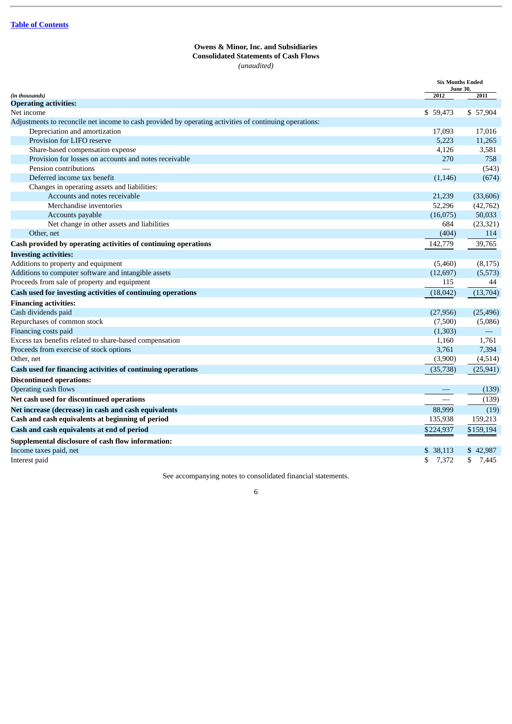### **Owens & Minor, Inc. and Subsidiaries Consolidated Statements of Cash Flows**

*(unaudited)*

<span id="page-5-0"></span>

|                                                                                                        | <b>Six Months Ended</b><br><b>June 30,</b> |           |
|--------------------------------------------------------------------------------------------------------|--------------------------------------------|-----------|
| (in thousands)                                                                                         | 2012                                       | 2011      |
| <b>Operating activities:</b>                                                                           |                                            |           |
| Net income                                                                                             | \$59,473                                   | \$57,904  |
| Adjustments to reconcile net income to cash provided by operating activities of continuing operations: |                                            |           |
| Depreciation and amortization                                                                          | 17,093                                     | 17,016    |
| Provision for LIFO reserve                                                                             | 5,223                                      | 11,265    |
| Share-based compensation expense                                                                       | 4,126                                      | 3,581     |
| Provision for losses on accounts and notes receivable                                                  | 270                                        | 758       |
| Pension contributions                                                                                  | $\overline{\phantom{0}}$                   | (543)     |
| Deferred income tax benefit                                                                            | (1, 146)                                   | (674)     |
| Changes in operating assets and liabilities:                                                           |                                            |           |
| Accounts and notes receivable                                                                          | 21,239                                     | (33,606)  |
| Merchandise inventories                                                                                | 52,296                                     | (42, 762) |
| Accounts payable                                                                                       | (16,075)                                   | 50,033    |
| Net change in other assets and liabilities                                                             | 684                                        | (23, 321) |
| Other, net                                                                                             | (404)                                      | 114       |
| Cash provided by operating activities of continuing operations                                         | 142,779                                    | 39,765    |
| <b>Investing activities:</b>                                                                           |                                            |           |
| Additions to property and equipment                                                                    | (5,460)                                    | (8,175)   |
| Additions to computer software and intangible assets                                                   | (12, 697)                                  | (5,573)   |
| Proceeds from sale of property and equipment                                                           | 115                                        | 44        |
| Cash used for investing activities of continuing operations                                            | (18, 042)                                  | (13,704)  |
| <b>Financing activities:</b>                                                                           |                                            |           |
| Cash dividends paid                                                                                    | (27,956)                                   | (25, 496) |
| Repurchases of common stock                                                                            | (7,500)                                    | (5,086)   |
| Financing costs paid                                                                                   | (1,303)                                    |           |
| Excess tax benefits related to share-based compensation                                                | 1,160                                      | 1,761     |
| Proceeds from exercise of stock options                                                                | 3,761                                      | 7,394     |
| Other, net                                                                                             | (3,900)                                    | (4,514)   |
| Cash used for financing activities of continuing operations                                            | (35, 738)                                  | (25, 941) |
| <b>Discontinued operations:</b>                                                                        |                                            |           |
| Operating cash flows                                                                                   |                                            | (139)     |
| Net cash used for discontinued operations                                                              |                                            | (139)     |
| Net increase (decrease) in cash and cash equivalents                                                   | 88,999                                     | (19)      |
| Cash and cash equivalents at beginning of period                                                       | 135,938                                    | 159,213   |
| Cash and cash equivalents at end of period                                                             | \$224,937                                  | \$159,194 |
| Supplemental disclosure of cash flow information:                                                      |                                            |           |
| Income taxes paid, net                                                                                 | \$38,113                                   | \$42,987  |
| Interest paid                                                                                          | 7,372<br>\$                                | \$7,445   |

See accompanying notes to consolidated financial statements.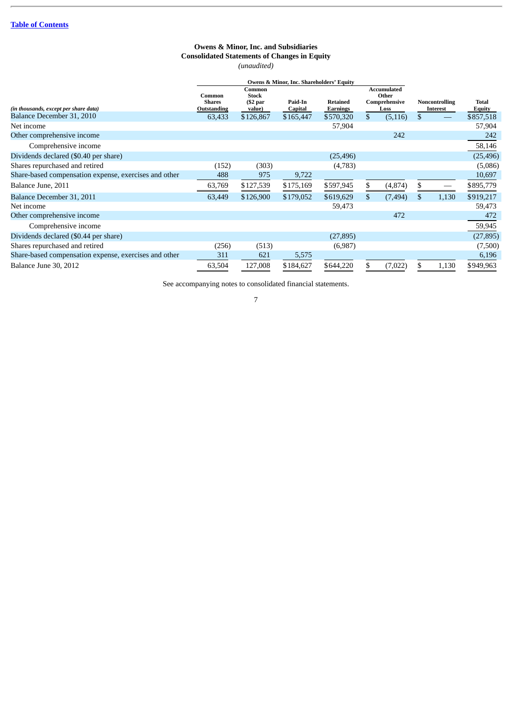### **Owens & Minor, Inc. and Subsidiaries Consolidated Statements of Changes in Equity**

*(unaudited)*

<span id="page-6-0"></span>

|                                                       | Owens & Minor, Inc. Shareholders' Equity |                                                      |                    |                             |    |                                               |                |                            |                        |
|-------------------------------------------------------|------------------------------------------|------------------------------------------------------|--------------------|-----------------------------|----|-----------------------------------------------|----------------|----------------------------|------------------------|
| (in thousands, except per share data)                 | Common<br><b>Shares</b><br>Outstanding   | Common<br><b>Stock</b><br>$$2\,\text{par}$<br>value) | Paid-In<br>Capital | <b>Retained</b><br>Earnings |    | Accumulated<br>Other<br>Comprehensive<br>Loss |                | Noncontrolling<br>Interest | <b>Total</b><br>Equity |
| Balance December 31, 2010                             | 63,433                                   | \$126,867                                            | \$165,447          | \$570,320                   | \$ | (5, 116)                                      | $\mathfrak{L}$ |                            | \$857,518              |
| Net income                                            |                                          |                                                      |                    | 57,904                      |    |                                               |                |                            | 57,904                 |
| Other comprehensive income                            |                                          |                                                      |                    |                             |    | 242                                           |                |                            | 242                    |
| Comprehensive income                                  |                                          |                                                      |                    |                             |    |                                               |                |                            | 58,146                 |
| Dividends declared (\$0.40 per share)                 |                                          |                                                      |                    | (25, 496)                   |    |                                               |                |                            | (25, 496)              |
| Shares repurchased and retired                        | (152)                                    | (303)                                                |                    | (4,783)                     |    |                                               |                |                            | (5,086)                |
| Share-based compensation expense, exercises and other | 488                                      | 975                                                  | 9,722              |                             |    |                                               |                |                            | 10,697                 |
| Balance June, 2011                                    | 63,769                                   | \$127,539                                            | \$175,169          | \$597,945                   | \$ | (4, 874)                                      | \$             |                            | \$895,779              |
| Balance December 31, 2011                             | 63,449                                   | \$126,900                                            | \$179,052          | \$619,629                   | \$ | (7, 494)                                      | S              | 1,130                      | \$919,217              |
| Net income                                            |                                          |                                                      |                    | 59,473                      |    |                                               |                |                            | 59,473                 |
| Other comprehensive income                            |                                          |                                                      |                    |                             |    | 472                                           |                |                            | 472                    |
| Comprehensive income                                  |                                          |                                                      |                    |                             |    |                                               |                |                            | 59,945                 |
| Dividends declared (\$0.44 per share)                 |                                          |                                                      |                    | (27, 895)                   |    |                                               |                |                            | (27, 895)              |
| Shares repurchased and retired                        | (256)                                    | (513)                                                |                    | (6,987)                     |    |                                               |                |                            | (7,500)                |
| Share-based compensation expense, exercises and other | 311                                      | 621                                                  | 5,575              |                             |    |                                               |                |                            | 6,196                  |
| Balance June 30, 2012                                 | 63,504                                   | 127,008                                              | \$184,627          | \$644,220                   | \$ | (7,022)                                       | ж              | 1,130                      | \$949,963              |

See accompanying notes to consolidated financial statements.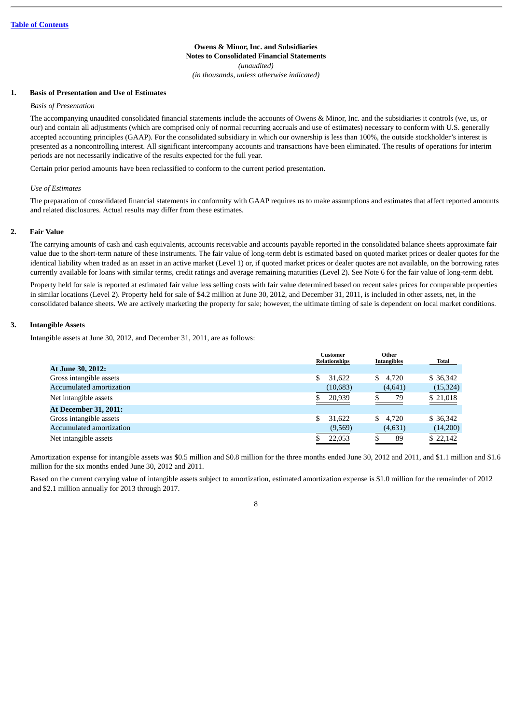**Owens & Minor, Inc. and Subsidiaries Notes to Consolidated Financial Statements** *(unaudited) (in thousands, unless otherwise indicated)*

#### <span id="page-7-0"></span>**1. Basis of Presentation and Use of Estimates**

#### *Basis of Presentation*

The accompanying unaudited consolidated financial statements include the accounts of Owens & Minor, Inc. and the subsidiaries it controls (we, us, or our) and contain all adjustments (which are comprised only of normal recurring accruals and use of estimates) necessary to conform with U.S. generally accepted accounting principles (GAAP). For the consolidated subsidiary in which our ownership is less than 100%, the outside stockholder's interest is presented as a noncontrolling interest. All significant intercompany accounts and transactions have been eliminated. The results of operations for interim periods are not necessarily indicative of the results expected for the full year.

Certain prior period amounts have been reclassified to conform to the current period presentation.

#### *Use of Estimates*

The preparation of consolidated financial statements in conformity with GAAP requires us to make assumptions and estimates that affect reported amounts and related disclosures. Actual results may differ from these estimates.

#### **2. Fair Value**

The carrying amounts of cash and cash equivalents, accounts receivable and accounts payable reported in the consolidated balance sheets approximate fair value due to the short-term nature of these instruments. The fair value of long-term debt is estimated based on quoted market prices or dealer quotes for the identical liability when traded as an asset in an active market (Level 1) or, if quoted market prices or dealer quotes are not available, on the borrowing rates currently available for loans with similar terms, credit ratings and average remaining maturities (Level 2). See Note 6 for the fair value of long-term debt.

Property held for sale is reported at estimated fair value less selling costs with fair value determined based on recent sales prices for comparable properties in similar locations (Level 2). Property held for sale of \$4.2 million at June 30, 2012, and December 31, 2011, is included in other assets, net, in the consolidated balance sheets. We are actively marketing the property for sale; however, the ultimate timing of sale is dependent on local market conditions.

### **3. Intangible Assets**

Intangible assets at June 30, 2012, and December 31, 2011, are as follows:

|                              | Customer<br><b>Relationships</b> | Other<br><b>Intangibles</b> | Total     |
|------------------------------|----------------------------------|-----------------------------|-----------|
| At June 30, 2012:            |                                  |                             |           |
| Gross intangible assets      | \$<br>31,622                     | \$<br>4.720                 | \$36,342  |
| Accumulated amortization     | (10,683)                         | (4,641)                     | (15, 324) |
| Net intangible assets        | 20,939                           | 79                          | \$21,018  |
| <b>At December 31, 2011:</b> |                                  |                             |           |
| Gross intangible assets      | \$<br>31,622                     | S.<br>4.720                 | \$36,342  |
| Accumulated amortization     | (9,569)                          | (4,631)                     | (14,200)  |
| Net intangible assets        | 22,053                           | 89                          | \$22,142  |

Amortization expense for intangible assets was \$0.5 million and \$0.8 million for the three months ended June 30, 2012 and 2011, and \$1.1 million and \$1.6 million for the six months ended June 30, 2012 and 2011.

Based on the current carrying value of intangible assets subject to amortization, estimated amortization expense is \$1.0 million for the remainder of 2012 and \$2.1 million annually for 2013 through 2017.

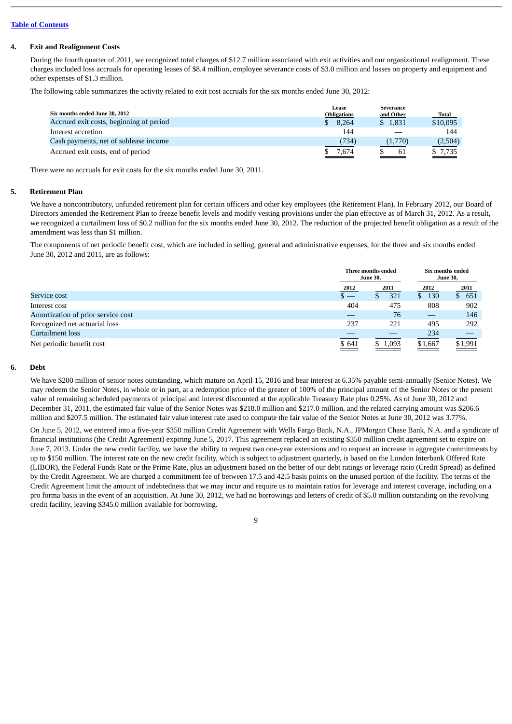### **4. Exit and Realignment Costs**

During the fourth quarter of 2011, we recognized total charges of \$12.7 million associated with exit activities and our organizational realignment. These charges included loss accruals for operating leases of \$8.4 million, employee severance costs of \$3.0 million and losses on property and equipment and other expenses of \$1.3 million.

The following table summarizes the activity related to exit cost accruals for the six months ended June 30, 2012:

| Six months ended June 30, 2012          | Lease<br><b>Obligations</b> | Severance<br>and Other | Total    |
|-----------------------------------------|-----------------------------|------------------------|----------|
| Accrued exit costs, beginning of period | 8.264                       | \$1.831                | \$10,095 |
| Interest accretion                      | 144                         |                        | 144      |
| Cash payments, net of sublease income   | (734)                       | (1,770)                | (2,504)  |
| Accrued exit costs, end of period       | .674                        | 61                     | \$ 7,735 |

There were no accruals for exit costs for the six months ended June 30, 2011.

#### **5. Retirement Plan**

We have a noncontributory, unfunded retirement plan for certain officers and other key employees (the Retirement Plan). In February 2012, our Board of Directors amended the Retirement Plan to freeze benefit levels and modify vesting provisions under the plan effective as of March 31, 2012. As a result, we recognized a curtailment loss of \$0.2 million for the six months ended June 30, 2012. The reduction of the projected benefit obligation as a result of the amendment was less than \$1 million.

The components of net periodic benefit cost, which are included in selling, general and administrative expenses, for the three and six months ended June 30, 2012 and 2011, are as follows:

|                                    |                | Three months ended<br><b>June 30,</b> | Six months ended<br><b>June 30,</b> |         |  |
|------------------------------------|----------------|---------------------------------------|-------------------------------------|---------|--|
|                                    | 2012           | 2011                                  | 2012                                | 2011    |  |
| Service cost                       | $\mathbf{s}$ — | 321                                   | \$130                               | \$651   |  |
| Interest cost                      | 404            | 475                                   | 808                                 | 902     |  |
| Amortization of prior service cost |                | 76                                    |                                     | 146     |  |
| Recognized net actuarial loss      | 237            | 221                                   | 495                                 | 292     |  |
| Curtailment loss                   |                |                                       | 234                                 |         |  |
| Net periodic benefit cost          | \$641          | \$1,093                               | \$1,667                             | \$1,991 |  |

#### **6. Debt**

We have \$200 million of senior notes outstanding, which mature on April 15, 2016 and bear interest at 6.35% payable semi-annually (Senior Notes). We may redeem the Senior Notes, in whole or in part, at a redemption price of the greater of 100% of the principal amount of the Senior Notes or the present value of remaining scheduled payments of principal and interest discounted at the applicable Treasury Rate plus 0.25%. As of June 30, 2012 and December 31, 2011, the estimated fair value of the Senior Notes was \$218.0 million and \$217.0 million, and the related carrying amount was \$206.6 million and \$207.5 million. The estimated fair value interest rate used to compute the fair value of the Senior Notes at June 30, 2012 was 3.77%.

On June 5, 2012, we entered into a five-year \$350 million Credit Agreement with Wells Fargo Bank, N.A., JPMorgan Chase Bank, N.A. and a syndicate of financial institutions (the Credit Agreement) expiring June 5, 2017. This agreement replaced an existing \$350 million credit agreement set to expire on June 7, 2013. Under the new credit facility, we have the ability to request two one-year extensions and to request an increase in aggregate commitments by up to \$150 million. The interest rate on the new credit facility, which is subject to adjustment quarterly, is based on the London Interbank Offered Rate (LIBOR), the Federal Funds Rate or the Prime Rate, plus an adjustment based on the better of our debt ratings or leverage ratio (Credit Spread) as defined by the Credit Agreement. We are charged a commitment fee of between 17.5 and 42.5 basis points on the unused portion of the facility. The terms of the Credit Agreement limit the amount of indebtedness that we may incur and require us to maintain ratios for leverage and interest coverage, including on a pro forma basis in the event of an acquisition. At June 30, 2012, we had no borrowings and letters of credit of \$5.0 million outstanding on the revolving credit facility, leaving \$345.0 million available for borrowing.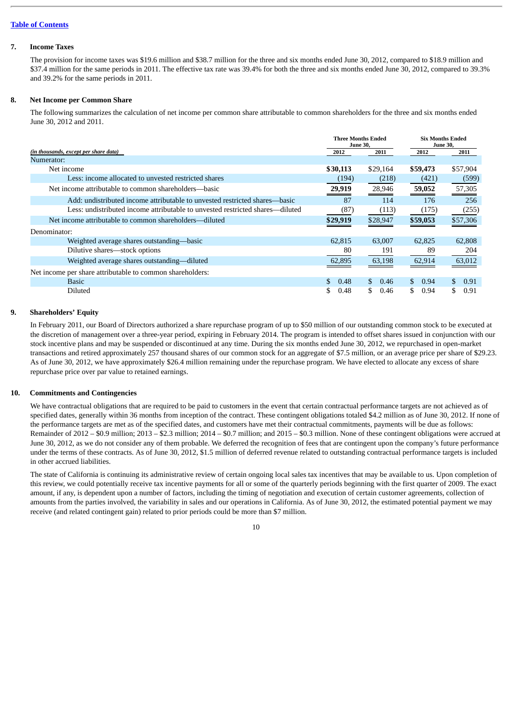### **7. Income Taxes**

The provision for income taxes was \$19.6 million and \$38.7 million for the three and six months ended June 30, 2012, compared to \$18.9 million and \$37.4 million for the same periods in 2011. The effective tax rate was 39.4% for both the three and six months ended June 30, 2012, compared to 39.3% and 39.2% for the same periods in 2011.

### **8. Net Income per Common Share**

The following summarizes the calculation of net income per common share attributable to common shareholders for the three and six months ended June 30, 2012 and 2011.

|                                                                               | <b>Three Months Ended</b><br><b>June 30,</b> |            | <b>Six Months Ended</b><br><b>June 30,</b> |            |
|-------------------------------------------------------------------------------|----------------------------------------------|------------|--------------------------------------------|------------|
| (in thousands, except per share data)                                         | 2012                                         | 2011       | 2012                                       | 2011       |
| Numerator:                                                                    |                                              |            |                                            |            |
| Net income                                                                    | \$30,113                                     | \$29,164   | \$59,473                                   | \$57,904   |
| Less: income allocated to unvested restricted shares                          | (194)                                        | (218)      | (421)                                      | (599)      |
| Net income attributable to common shareholders—basic                          | 29,919                                       | 28,946     | 59,052                                     | 57,305     |
| Add: undistributed income attributable to unvested restricted shares—basic    | 87                                           | 114        | 176                                        | 256        |
| Less: undistributed income attributable to unvested restricted shares—diluted | (87)                                         | (113)      | (175)                                      | (255)      |
| Net income attributable to common shareholders—diluted                        | \$29,919                                     | \$28,947   | \$59,053                                   | \$57,306   |
| Denominator:                                                                  |                                              |            |                                            |            |
| Weighted average shares outstanding—basic                                     | 62,815                                       | 63,007     | 62,825                                     | 62,808     |
| Dilutive shares—stock options                                                 | 80                                           | 191        | 89                                         | 204        |
| Weighted average shares outstanding—diluted                                   | 62,895                                       | 63,198     | 62,914                                     | 63,012     |
| Net income per share attributable to common shareholders:                     |                                              |            |                                            |            |
| Basic                                                                         | S.<br>0.48                                   | \$<br>0.46 | S.<br>0.94                                 | 0.91<br>S. |
| <b>Diluted</b>                                                                | S.<br>0.48                                   | S.<br>0.46 | \$.<br>0.94                                | S.<br>0.91 |

### **9. Shareholders' Equity**

In February 2011, our Board of Directors authorized a share repurchase program of up to \$50 million of our outstanding common stock to be executed at the discretion of management over a three-year period, expiring in February 2014. The program is intended to offset shares issued in conjunction with our stock incentive plans and may be suspended or discontinued at any time. During the six months ended June 30, 2012, we repurchased in open-market transactions and retired approximately 257 thousand shares of our common stock for an aggregate of \$7.5 million, or an average price per share of \$29.23. As of June 30, 2012, we have approximately \$26.4 million remaining under the repurchase program. We have elected to allocate any excess of share repurchase price over par value to retained earnings.

### **10. Commitments and Contingencies**

We have contractual obligations that are required to be paid to customers in the event that certain contractual performance targets are not achieved as of specified dates, generally within 36 months from inception of the contract. These contingent obligations totaled \$4.2 million as of June 30, 2012. If none of the performance targets are met as of the specified dates, and customers have met their contractual commitments, payments will be due as follows: Remainder of 2012 – \$0.9 million; 2013 – \$2.3 million; 2014 – \$0.7 million; and 2015 – \$0.3 million. None of these contingent obligations were accrued at June 30, 2012, as we do not consider any of them probable. We deferred the recognition of fees that are contingent upon the company's future performance under the terms of these contracts. As of June 30, 2012, \$1.5 million of deferred revenue related to outstanding contractual performance targets is included in other accrued liabilities.

The state of California is continuing its administrative review of certain ongoing local sales tax incentives that may be available to us. Upon completion of this review, we could potentially receive tax incentive payments for all or some of the quarterly periods beginning with the first quarter of 2009. The exact amount, if any, is dependent upon a number of factors, including the timing of negotiation and execution of certain customer agreements, collection of amounts from the parties involved, the variability in sales and our operations in California. As of June 30, 2012, the estimated potential payment we may receive (and related contingent gain) related to prior periods could be more than \$7 million.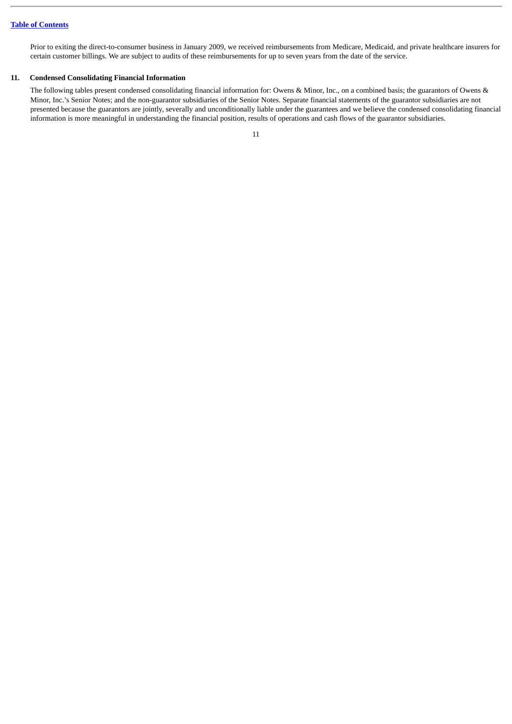Prior to exiting the direct-to-consumer business in January 2009, we received reimbursements from Medicare, Medicaid, and private healthcare insurers for certain customer billings. We are subject to audits of these reimbursements for up to seven years from the date of the service.

### **11. Condensed Consolidating Financial Information**

The following tables present condensed consolidating financial information for: Owens & Minor, Inc., on a combined basis; the guarantors of Owens & Minor, Inc.'s Senior Notes; and the non-guarantor subsidiaries of the Senior Notes. Separate financial statements of the guarantor subsidiaries are not presented because the guarantors are jointly, severally and unconditionally liable under the guarantees and we believe the condensed consolidating financial information is more meaningful in understanding the financial position, results of operations and cash flows of the guarantor subsidiaries.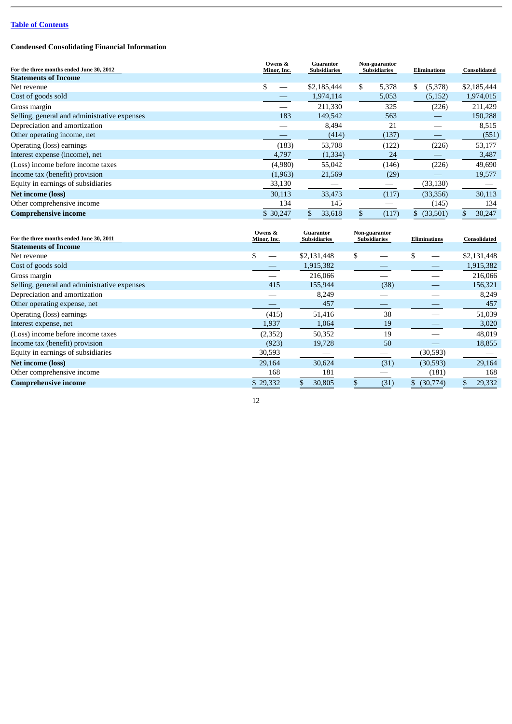### **Condensed Consolidating Financial Information**

| For the three months ended June 30, 2012     | Owens &<br>Minor, Inc.  | Guarantor<br><b>Subsidiaries</b> | Non-guarantor<br><b>Subsidiaries</b> | <b>Eliminations</b> | Consolidated |
|----------------------------------------------|-------------------------|----------------------------------|--------------------------------------|---------------------|--------------|
| <b>Statements of Income</b>                  |                         |                                  |                                      |                     |              |
| Net revenue                                  | \$<br>$\hspace{0.05cm}$ | \$2,185,444                      | \$<br>5,378                          | (5,378)<br>\$       | \$2,185,444  |
| Cost of goods sold                           |                         | 1,974,114                        | 5,053                                | (5, 152)            | 1,974,015    |
| Gross margin                                 |                         | 211,330                          | 325                                  | (226)               | 211,429      |
| Selling, general and administrative expenses | 183                     | 149,542                          | 563                                  |                     | 150,288      |
| Depreciation and amortization                |                         | 8,494                            | 21                                   |                     | 8,515        |
| Other operating income, net                  |                         | (414)                            | (137)                                |                     | (551)        |
| Operating (loss) earnings                    | (183)                   | 53,708                           | (122)                                | (226)               | 53,177       |
| Interest expense (income), net               | 4,797                   | (1, 334)                         | 24                                   |                     | 3,487        |
| (Loss) income before income taxes            | (4,980)                 | 55,042                           | (146)                                | (226)               | 49,690       |
| Income tax (benefit) provision               | (1,963)                 | 21,569                           | (29)                                 |                     | 19,577       |
| Equity in earnings of subsidiaries           | 33,130                  |                                  |                                      | (33, 130)           |              |
| <b>Net income (loss)</b>                     | 30,113                  | 33,473                           | (117)                                | (33, 356)           | 30,113       |
| Other comprehensive income                   | 134                     | 145                              |                                      | (145)               | 134          |
| <b>Comprehensive income</b>                  | \$ 30,247               | 33,618                           | (117)                                | (33,501)            | 30,247       |

| For the three months ended June 30, 2011     | Owens &<br>Minor, Inc. | Guarantor<br><b>Subsidiaries</b> | Non-guarantor<br><b>Subsidiaries</b> | <b>Eliminations</b> | Consolidated |
|----------------------------------------------|------------------------|----------------------------------|--------------------------------------|---------------------|--------------|
| <b>Statements of Income</b>                  |                        |                                  |                                      |                     |              |
| Net revenue                                  | \$                     | \$2,131,448                      | \$                                   | \$                  | \$2,131,448  |
| Cost of goods sold                           |                        | 1,915,382                        |                                      |                     | 1,915,382    |
| Gross margin                                 |                        | 216,066                          |                                      |                     | 216,066      |
| Selling, general and administrative expenses | 415                    | 155,944                          | (38)                                 |                     | 156,321      |
| Depreciation and amortization                |                        | 8,249                            |                                      |                     | 8,249        |
| Other operating expense, net                 |                        | 457                              |                                      |                     | 457          |
| Operating (loss) earnings                    | (415)                  | 51,416                           | 38                                   |                     | 51,039       |
| Interest expense, net                        | 1,937                  | 1,064                            | 19                                   |                     | 3,020        |
| (Loss) income before income taxes            | (2,352)                | 50,352                           | 19                                   |                     | 48,019       |
| Income tax (benefit) provision               | (923)                  | 19,728                           | 50                                   |                     | 18,855       |
| Equity in earnings of subsidiaries           | 30,593                 |                                  |                                      | (30, 593)           |              |
| <b>Net income (loss)</b>                     | 29,164                 | 30,624                           | (31)                                 | (30,593)            | 29,164       |
| Other comprehensive income                   | 168                    | 181                              |                                      | (181)               | 168          |
| <b>Comprehensive income</b>                  | \$29,332               | \$<br>30,805                     | (31)                                 | (30,774)<br>S.      | 29,332       |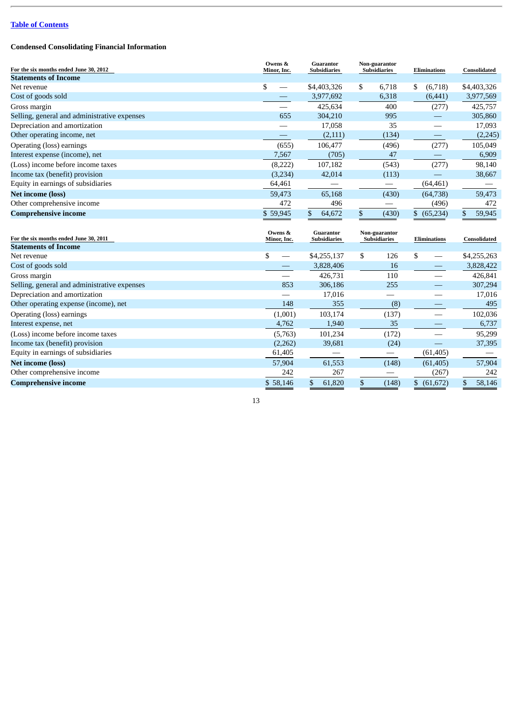### **Condensed Consolidating Financial Information**

| For the six months ended June 30, 2012       | Owens &<br>Minor, Inc.                | Guarantor<br><b>Subsidiaries</b>        |     | Non-guarantor<br><b>Subsidiaries</b> | <b>Eliminations</b> | Consolidated |
|----------------------------------------------|---------------------------------------|-----------------------------------------|-----|--------------------------------------|---------------------|--------------|
| <b>Statements of Income</b>                  |                                       |                                         |     |                                      |                     |              |
| Net revenue                                  | \$<br>$\hspace{0.1mm}-\hspace{0.1mm}$ | \$4,403,326                             | \$  | 6,718                                | \$<br>(6,718)       | \$4,403,326  |
| Cost of goods sold                           |                                       | 3,977,692                               |     | 6,318                                | (6, 441)            | 3,977,569    |
| Gross margin                                 |                                       | 425,634                                 |     | 400                                  | (277)               | 425,757      |
| Selling, general and administrative expenses | 655                                   | 304,210                                 |     | 995                                  |                     | 305,860      |
| Depreciation and amortization                |                                       | 17,058                                  |     | 35                                   |                     | 17,093       |
| Other operating income, net                  |                                       | (2,111)                                 |     | (134)                                |                     | (2, 245)     |
| Operating (loss) earnings                    | (655)                                 | 106,477                                 |     | (496)                                | (277)               | 105,049      |
| Interest expense (income), net               | 7,567                                 | (705)                                   |     | 47                                   |                     | 6,909        |
| (Loss) income before income taxes            | (8,222)                               | 107,182                                 |     | (543)                                | (277)               | 98,140       |
| Income tax (benefit) provision               | (3,234)                               | 42,014                                  |     | (113)                                |                     | 38,667       |
| Equity in earnings of subsidiaries           | 64,461                                |                                         |     |                                      | (64, 461)           |              |
| <b>Net income (loss)</b>                     | 59,473                                | 65,168                                  |     | (430)                                | (64, 738)           | 59,473       |
| Other comprehensive income                   | 472                                   | 496                                     |     |                                      | (496)               | 472          |
| <b>Comprehensive income</b>                  | \$59,945                              | \$<br>64,672                            | \$. | (430)                                | \$<br>(65, 234)     | 59,945<br>S. |
| For the six months ended June 30, 2011       | Owens &<br>Minor, Inc.                | <b>Guarantor</b><br><b>Subsidiaries</b> |     | Non-guarantor<br><b>Subsidiaries</b> | <b>Eliminations</b> | Consolidated |
| <b>Statements of Income</b>                  |                                       |                                         |     |                                      |                     |              |
| Net revenue                                  | \$                                    | \$4,255,137                             | \$  | 126                                  | \$                  | \$4,255,263  |
| Cost of goods sold                           |                                       | 3,828,406                               |     | 16                                   |                     | 3,828,422    |
| Gross margin                                 |                                       | 426,731                                 |     | 110                                  |                     | 426,841      |
| Selling, general and administrative expenses | 853                                   | 306,186                                 |     | 255                                  |                     | 307,294      |

13

Equity in earnings of subsidiaries  $\frac{61,405}{57,904}$   $\frac{-}{61,553}$   $\frac{-}{148}$   $\frac{(61,405)}{(148)}$   $\frac{-}{61,405}$   $\frac{-}{57,904}$ **Net income (loss)** 57,904 61,553 (148) (61,405) 57,904 Other comprehensive income<br> **Comprehensive income**<br> **Comprehensive income**<br> **Comprehensive income**<br> **Comprehensive income**<br> **Comprehensive income**<br> **Comprehensive income**<br> **Comprehensive income Comprehensive income** 5 58,146 \$ 58,146 \$ 61,820 \$ (148) \$ (61,672) \$

Depreciation and amortization — 17,016 — 17,016 — 17,016 — 17,016 — 17,016 — 17,016 — 17,016 — 17,016 — 17,016 — 17,016 — 17,016 — 17,016 — 17,016 — 17,016 — 17,016 — 17,016 — 17,016 — 17,016 — 17,016 — 19,016 — 19,016 — 1 Other operating expense (income), net 148 355 (8) — 495 Operating (loss) earnings (1,001) 103,174 (137) — 102,036<br>Interest expense, net 102,036 Interest expense, net  $\frac{4,762}{(5,763)}$   $\frac{1,940}{101,234}$   $\frac{35}{(172)}$   $\frac{1}{102}$   $\frac{35}{(172)}$   $\frac{4,762}{(172)}$   $\frac{6,737}{(172)}$ (Loss) income before income taxes  $\frac{(5,763)}{(2,262)}$   $\frac{101,234}{39,681}$   $\frac{(172)}{(24)}$   $\frac{(172)}{(24)}$   $\frac{(173)}{(24)}$   $\frac{(173)}{(24)}$   $\frac{(173)}{(24)}$   $\frac{(173)}{(24)}$   $\frac{(173)}{(24)}$   $\frac{(173)}{(24)}$   $\frac{(173)}{(24)}$   $\frac{(173)}{(24)}$   $\frac{(173$ 

Income tax (benefit) provision (2,262) 39,681 (24) — 39,681 (31,405) 39,681 (32) — 37,681 (32) — 37,681 (32) — 37,681 (31,405)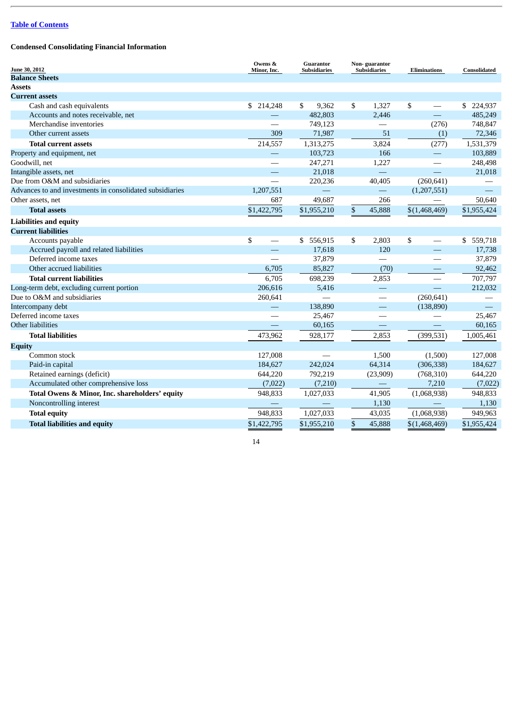### **Condensed Consolidating Financial Information**

| June 30, 2012                                            | Owens &<br>Minor, Inc. | Guarantor<br><b>Subsidiaries</b> | Non-guarantor<br><b>Subsidiaries</b> |                          | <b>Consolidated</b> |
|----------------------------------------------------------|------------------------|----------------------------------|--------------------------------------|--------------------------|---------------------|
| <b>Balance Sheets</b>                                    |                        |                                  |                                      |                          |                     |
| <b>Assets</b>                                            |                        |                                  |                                      |                          |                     |
| <b>Current assets</b>                                    |                        |                                  |                                      |                          |                     |
| Cash and cash equivalents                                | 214,248<br>\$          | \$<br>9,362                      | \$<br>1,327                          | \$                       | \$224,937           |
| Accounts and notes receivable, net                       |                        | 482,803                          | 2,446                                | $\equiv$                 | 485,249             |
| Merchandise inventories                                  |                        | 749,123                          |                                      | (276)                    | 748,847             |
| Other current assets                                     | 309                    | 71,987                           | 51                                   | (1)                      | 72,346              |
| <b>Total current assets</b>                              | 214,557                | 1,313,275                        | 3,824                                | (277)                    | 1,531,379           |
| Property and equipment, net                              |                        | 103,723                          | 166                                  | $\overline{\phantom{0}}$ | 103,889             |
| Goodwill, net                                            |                        | 247,271                          | 1,227                                | $\overline{\phantom{0}}$ | 248,498             |
| Intangible assets, net                                   |                        | 21,018                           | $\qquad \qquad$                      |                          | 21,018              |
| Due from O&M and subsidiaries                            |                        | 220,236                          | 40,405                               | (260, 641)               |                     |
| Advances to and investments in consolidated subsidiaries | 1,207,551              | $\overline{\phantom{m}}$         |                                      | (1,207,551)              |                     |
| Other assets, net                                        | 687                    | 49,687                           | 266                                  |                          | 50,640              |
| <b>Total assets</b>                                      | \$1,422,795            | \$1,955,210                      | \$<br>45,888                         | \$(1,468,469)            | \$1,955,424         |
| <b>Liabilities and equity</b>                            |                        |                                  |                                      |                          |                     |
| <b>Current liabilities</b>                               |                        |                                  |                                      |                          |                     |
| Accounts payable                                         | \$<br>$\qquad \qquad$  | 556,915<br>\$                    | \$<br>2,803                          | \$                       | \$559,718           |
| Accrued payroll and related liabilities                  |                        | 17,618                           | 120                                  |                          | 17,738              |
| Deferred income taxes                                    |                        | 37,879                           | $\overline{\phantom{0}}$             |                          | 37,879              |
| Other accrued liabilities                                | 6,705                  | 85,827                           | (70)                                 |                          | 92,462              |
| <b>Total current liabilities</b>                         | 6,705                  | 698,239                          | 2,853                                |                          | 707,797             |
| Long-term debt, excluding current portion                | 206,616                | 5,416                            |                                      | $\overline{\phantom{a}}$ | 212,032             |
| Due to O&M and subsidiaries                              | 260,641                |                                  |                                      | (260, 641)               |                     |
| Intercompany debt                                        |                        | 138,890                          |                                      | (138, 890)               |                     |
| Deferred income taxes                                    |                        | 25,467                           |                                      |                          | 25,467              |
| <b>Other liabilities</b>                                 |                        | 60,165                           |                                      |                          | 60,165              |
| <b>Total liabilities</b>                                 | 473,962                | 928,177                          | 2,853                                | (399, 531)               | 1,005,461           |
| <b>Equity</b>                                            |                        |                                  |                                      |                          |                     |
| Common stock                                             | 127,008                |                                  | 1,500                                | (1,500)                  | 127,008             |
| Paid-in capital                                          | 184,627                | 242,024                          | 64,314                               | (306, 338)               | 184,627             |
| Retained earnings (deficit)                              | 644,220                | 792,219                          | (23,909)                             | (768, 310)               | 644,220             |
| Accumulated other comprehensive loss                     | (7,022)                | (7,210)                          |                                      | 7,210                    | (7,022)             |
| Total Owens & Minor, Inc. shareholders' equity           | 948,833                | 1,027,033                        | 41,905                               | (1,068,938)              | 948,833             |
| Noncontrolling interest                                  |                        |                                  | 1,130                                |                          | 1,130               |
| <b>Total equity</b>                                      | 948,833                | 1,027,033                        | 43,035                               | (1,068,938)              | 949,963             |
|                                                          |                        |                                  |                                      |                          |                     |
| <b>Total liabilities and equity</b>                      | \$1,422,795            | \$1,955,210                      | \$<br>45,888                         | \$(1,468,469)            | \$1,955,424         |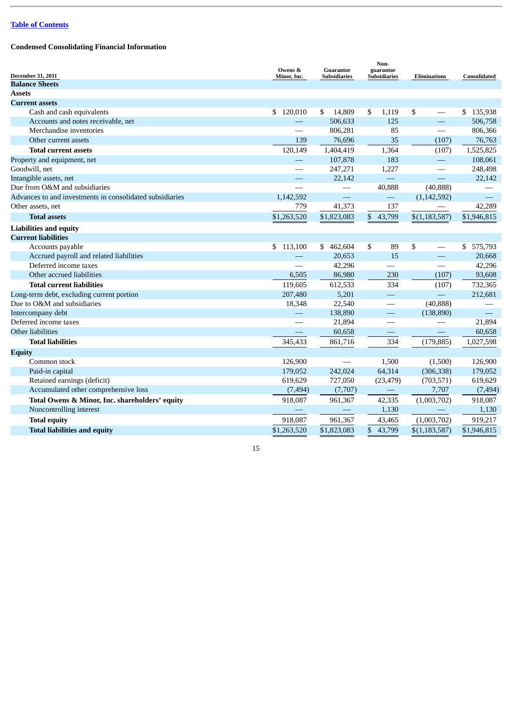### **Condensed Consolidating Financial Information**

| <b>December 31, 2011</b>                                 | Owens &<br>Minor, Inc.   | Guarantor<br><b>Subsidiaries</b> | Non-<br>guarantor<br><b>Subsidiaries</b> | <b>Eliminations</b>      | Consolidated |
|----------------------------------------------------------|--------------------------|----------------------------------|------------------------------------------|--------------------------|--------------|
| Balance Sheets                                           |                          |                                  |                                          |                          |              |
| Assets                                                   |                          |                                  |                                          |                          |              |
| <b>Current assets</b>                                    |                          |                                  |                                          |                          |              |
| Cash and cash equivalents                                | \$120,010                | \$<br>14,809                     | \$<br>1,119                              | \$                       | \$135,938    |
| Accounts and notes receivable, net                       |                          | 506,633                          | 125                                      | $\overline{\phantom{0}}$ | 506,758      |
| Merchandise inventories                                  |                          | 806,281                          | 85                                       | $\overline{\phantom{0}}$ | 806,366      |
| Other current assets                                     | 139                      | 76,696                           | 35                                       | (107)                    | 76,763       |
| <b>Total current assets</b>                              | 120,149                  | 1,404,419                        | 1,364                                    | (107)                    | 1,525,825    |
| Property and equipment, net                              |                          | 107,878                          | 183                                      |                          | 108,061      |
| Goodwill, net                                            |                          | 247,271                          | 1,227                                    |                          | 248,498      |
| Intangible assets, net                                   | $\overline{\phantom{0}}$ | 22,142                           |                                          | L.                       | 22,142       |
| Due from O&M and subsidiaries                            |                          |                                  | 40,888                                   | (40, 888)                |              |
| Advances to and investments in consolidated subsidiaries | 1,142,592                | $\equiv$                         |                                          | (1, 142, 592)            |              |
| Other assets, net                                        | 779                      | 41,373                           | 137                                      |                          | 42,289       |
| <b>Total assets</b>                                      | \$1,263,520              | \$1,823,083                      | \$<br>43,799                             | \$(1,183,587)            | \$1,946,815  |
| <b>Liabilities and equity</b>                            |                          |                                  |                                          |                          |              |
| <b>Current liabilities</b>                               |                          |                                  |                                          |                          |              |
| Accounts payable                                         | \$113,100                | 462,604<br>\$                    | \$<br>89                                 | \$<br>$\equiv$           | \$ 575,793   |
| Accrued payroll and related liabilities                  |                          | 20,653                           | 15                                       |                          | 20,668       |
| Deferred income taxes                                    |                          | 42,296                           |                                          |                          | 42,296       |
| Other accrued liabilities                                | 6,505                    | 86,980                           | 230                                      | (107)                    | 93,608       |
| <b>Total current liabilities</b>                         | 119,605                  | 612,533                          | 334                                      | (107)                    | 732,365      |
| Long-term debt, excluding current portion                | 207,480                  | 5,201                            |                                          | $\equiv$                 | 212,681      |
| Due to O&M and subsidiaries                              | 18,348                   | 22,540                           |                                          | (40, 888)                |              |
| Intercompany debt                                        |                          | 138,890                          |                                          | (138, 890)               |              |
| Deferred income taxes                                    |                          | 21,894                           |                                          |                          | 21,894       |
| Other liabilities                                        |                          | 60,658                           |                                          |                          | 60,658       |
| <b>Total liabilities</b>                                 | 345,433                  | 861,716                          | 334                                      | (179, 885)               | 1,027,598    |
| Equity                                                   |                          |                                  |                                          |                          |              |
| Common stock                                             | 126,900                  |                                  | 1,500                                    | (1,500)                  | 126,900      |
| Paid-in capital                                          | 179,052                  | 242,024                          | 64,314                                   | (306, 338)               | 179,052      |
| Retained earnings (deficit)                              | 619,629                  | 727,050                          | (23, 479)                                | (703, 571)               | 619,629      |
| Accumulated other comprehensive loss                     | (7, 494)                 | (7,707)                          |                                          | 7,707                    | (7, 494)     |
| Total Owens & Minor, Inc. shareholders' equity           | 918,087                  | 961,367                          | 42,335                                   | (1,003,702)              | 918,087      |
| Noncontrolling interest                                  |                          |                                  | 1,130                                    |                          | 1,130        |
| <b>Total equity</b>                                      | 918,087                  | 961,367                          | 43,465                                   | (1,003,702)              | 919,217      |
| <b>Total liabilities and equity</b>                      | \$1,263,520              | \$1,823,083                      | \$43,799                                 | \$(1,183,587)            | \$1,946,815  |
|                                                          |                          |                                  |                                          |                          |              |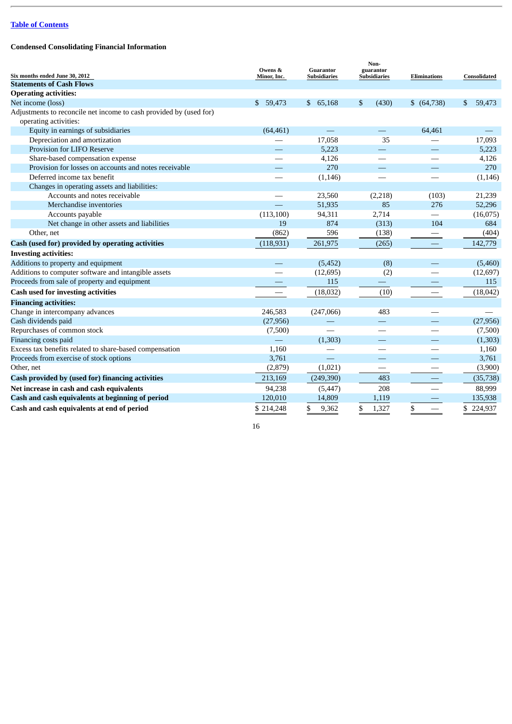### **Condensed Consolidating Financial Information**

|                                                                               | Owens &                | Guarantor           | Non-<br>guarantor   |                     |                 |
|-------------------------------------------------------------------------------|------------------------|---------------------|---------------------|---------------------|-----------------|
| Six months ended June 30, 2012<br><b>Statements of Cash Flows</b>             | Minor, Inc.            | <b>Subsidiaries</b> | <b>Subsidiaries</b> | <b>Eliminations</b> | Consolidated    |
|                                                                               |                        |                     |                     |                     |                 |
| <b>Operating activities:</b><br>Net income (loss)                             | $\mathbb{S}$<br>59,473 | \$65,168            | \$<br>(430)         | \$ (64,738)         | \$<br>59,473    |
| Adjustments to reconcile net income to cash provided by (used for)            |                        |                     |                     |                     |                 |
| operating activities:                                                         |                        |                     |                     |                     |                 |
| Equity in earnings of subsidiaries                                            | (64, 461)              |                     |                     | 64,461              |                 |
| Depreciation and amortization                                                 |                        | 17,058              | 35                  |                     | 17,093          |
| Provision for LIFO Reserve                                                    |                        | 5,223               |                     |                     | 5,223           |
| Share-based compensation expense                                              |                        | 4,126               |                     |                     | 4,126           |
| Provision for losses on accounts and notes receivable                         |                        | 270                 |                     |                     | 270             |
| Deferred income tax benefit                                                   |                        | (1, 146)            |                     |                     | (1, 146)        |
|                                                                               |                        |                     |                     |                     |                 |
| Changes in operating assets and liabilities:<br>Accounts and notes receivable |                        | 23,560              | (2,218)             | (103)               | 21,239          |
| Merchandise inventories                                                       |                        | 51,935              | 85                  | 276                 | 52,296          |
|                                                                               | (113,100)              | 94,311              | 2,714               |                     |                 |
| Accounts payable<br>Net change in other assets and liabilities                | 19                     | 874                 |                     | 104                 | (16,075)<br>684 |
| Other, net                                                                    | (862)                  | 596                 | (313)<br>(138)      |                     | (404)           |
|                                                                               |                        |                     |                     |                     |                 |
| Cash (used for) provided by operating activities                              | (118, 931)             | 261,975             | (265)               |                     | 142,779         |
| <b>Investing activities:</b>                                                  |                        |                     |                     |                     |                 |
| Additions to property and equipment                                           |                        | (5, 452)            | (8)                 |                     | (5,460)         |
| Additions to computer software and intangible assets                          |                        | (12, 695)           | (2)                 |                     | (12, 697)       |
| Proceeds from sale of property and equipment                                  |                        | 115                 |                     |                     | 115             |
| <b>Cash used for investing activities</b>                                     |                        | (18,032)            | (10)                |                     | (18, 042)       |
| <b>Financing activities:</b>                                                  |                        |                     |                     |                     |                 |
| Change in intercompany advances                                               | 246,583                | (247,066)           | 483                 |                     |                 |
| Cash dividends paid                                                           | (27, 956)              |                     |                     |                     | (27, 956)       |
| Repurchases of common stock                                                   | (7,500)                |                     |                     |                     | (7,500)         |
| Financing costs paid                                                          |                        | (1,303)             |                     |                     | (1, 303)        |
| Excess tax benefits related to share-based compensation                       | 1,160                  |                     |                     |                     | 1,160           |
| Proceeds from exercise of stock options                                       | 3,761                  |                     |                     |                     | 3,761           |
| Other, net                                                                    | (2,879)                | (1,021)             |                     |                     | (3,900)         |
| Cash provided by (used for) financing activities                              | 213,169                | (249, 390)          | 483                 |                     | (35, 738)       |
| Net increase in cash and cash equivalents                                     | 94,238                 | (5, 447)            | 208                 |                     | 88,999          |
| Cash and cash equivalents at beginning of period                              | 120,010                | 14,809              | 1,119               |                     | 135,938         |
| Cash and cash equivalents at end of period                                    | \$214,248              | \$<br>9,362         | 1,327<br>\$         | \$                  | \$224,937       |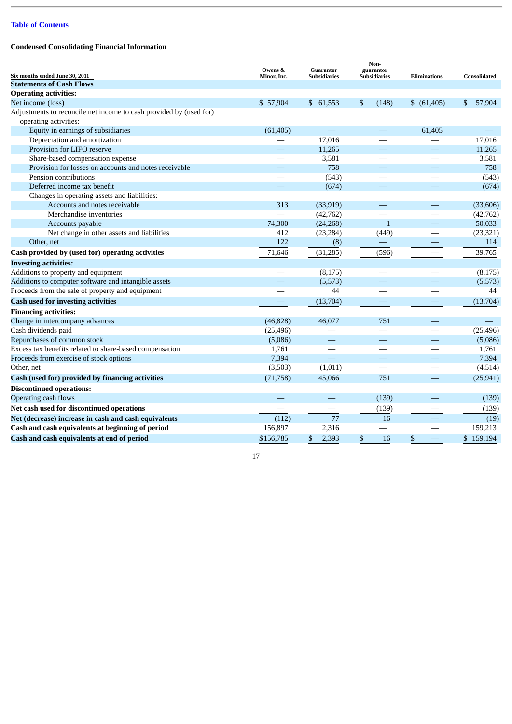### **Condensed Consolidating Financial Information**

| Six months ended June 30, 2011                                     | Owens &<br>Minor, Inc.   | Guarantor<br><b>Subsidiaries</b> | Non-<br>guarantor<br><b>Subsidiaries</b> | <b>Eliminations</b> | Consolidated |
|--------------------------------------------------------------------|--------------------------|----------------------------------|------------------------------------------|---------------------|--------------|
| <b>Statements of Cash Flows</b>                                    |                          |                                  |                                          |                     |              |
| <b>Operating activities:</b>                                       |                          |                                  |                                          |                     |              |
| Net income (loss)                                                  | \$57,904                 | \$61,553                         | \$<br>(148)                              | \$ (61,405)         | \$<br>57,904 |
| Adjustments to reconcile net income to cash provided by (used for) |                          |                                  |                                          |                     |              |
| operating activities:                                              |                          |                                  |                                          |                     |              |
| Equity in earnings of subsidiaries                                 | (61, 405)                |                                  |                                          | 61,405              |              |
| Depreciation and amortization                                      |                          | 17,016                           |                                          |                     | 17,016       |
| Provision for LIFO reserve                                         |                          | 11,265                           |                                          |                     | 11,265       |
| Share-based compensation expense                                   |                          | 3,581                            |                                          |                     | 3,581        |
| Provision for losses on accounts and notes receivable              |                          | 758                              |                                          |                     | 758          |
| Pension contributions                                              |                          | (543)                            |                                          |                     | (543)        |
| Deferred income tax benefit                                        |                          | (674)                            |                                          |                     | (674)        |
| Changes in operating assets and liabilities:                       |                          |                                  |                                          |                     |              |
| Accounts and notes receivable                                      | 313                      | (33,919)                         |                                          |                     | (33,606)     |
| Merchandise inventories                                            |                          | (42,762)                         |                                          |                     | (42, 762)    |
| Accounts payable                                                   | 74,300                   | (24, 268)                        | $\mathbf{1}$                             |                     | 50,033       |
| Net change in other assets and liabilities                         | 412                      | (23, 284)                        | (449)                                    |                     | (23, 321)    |
| Other, net                                                         | 122                      | (8)                              |                                          |                     | 114          |
| Cash provided by (used for) operating activities                   | 71,646                   | (31, 285)                        | (596)                                    |                     | 39,765       |
| <b>Investing activities:</b>                                       |                          |                                  |                                          |                     |              |
| Additions to property and equipment                                |                          | (8, 175)                         |                                          |                     | (8, 175)     |
| Additions to computer software and intangible assets               |                          | (5, 573)                         |                                          |                     | (5, 573)     |
| Proceeds from the sale of property and equipment                   |                          | 44                               |                                          |                     | 44           |
| <b>Cash used for investing activities</b>                          |                          | (13,704)                         |                                          |                     | (13,704)     |
| <b>Financing activities:</b>                                       |                          |                                  |                                          |                     |              |
| Change in intercompany advances                                    | (46, 828)                | 46,077                           | 751                                      |                     |              |
| Cash dividends paid                                                | (25, 496)                |                                  |                                          |                     | (25, 496)    |
| Repurchases of common stock                                        | (5,086)                  |                                  |                                          |                     | (5,086)      |
| Excess tax benefits related to share-based compensation            | 1,761                    |                                  |                                          |                     | 1,761        |
| Proceeds from exercise of stock options                            | 7,394                    |                                  |                                          |                     | 7,394        |
| Other, net                                                         | (3,503)                  | (1,011)                          |                                          |                     | (4,514)      |
| Cash (used for) provided by financing activities                   | (71, 758)                | 45,066                           | 751                                      |                     | (25, 941)    |
| <b>Discontinued operations:</b>                                    |                          |                                  |                                          |                     |              |
| Operating cash flows                                               |                          |                                  | (139)                                    |                     | (139)        |
| Net cash used for discontinued operations                          | $\overline{\phantom{0}}$ | $\equiv$                         | (139)                                    |                     | (139)        |
| Net (decrease) increase in cash and cash equivalents               | (112)                    | 77                               | 16                                       |                     | (19)         |
| Cash and cash equivalents at beginning of period                   | 156,897                  | 2,316                            |                                          |                     | 159,213      |
| Cash and cash equivalents at end of period                         | \$156,785                | \$<br>2,393                      | \$<br>16                                 | \$                  | \$159,194    |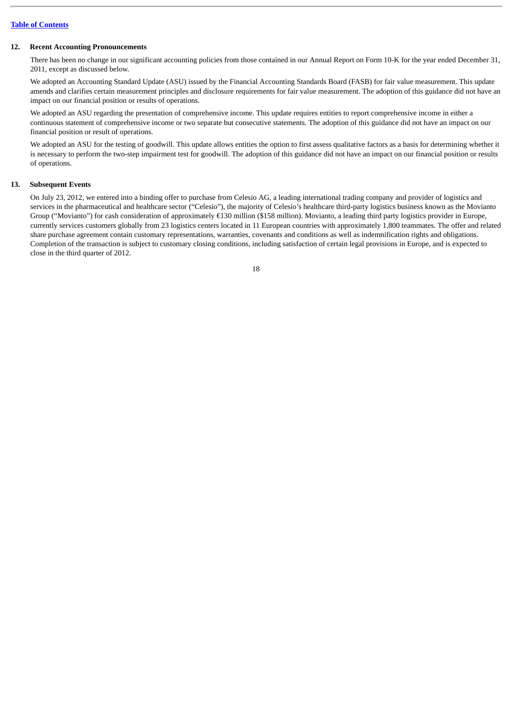#### **12. Recent Accounting Pronouncements**

There has been no change in our significant accounting policies from those contained in our Annual Report on Form 10-K for the year ended December 31, 2011, except as discussed below.

We adopted an Accounting Standard Update (ASU) issued by the Financial Accounting Standards Board (FASB) for fair value measurement. This update amends and clarifies certain measurement principles and disclosure requirements for fair value measurement. The adoption of this guidance did not have an impact on our financial position or results of operations.

We adopted an ASU regarding the presentation of comprehensive income. This update requires entities to report comprehensive income in either a continuous statement of comprehensive income or two separate but consecutive statements. The adoption of this guidance did not have an impact on our financial position or result of operations.

We adopted an ASU for the testing of goodwill. This update allows entities the option to first assess qualitative factors as a basis for determining whether it is necessary to perform the two-step impairment test for goodwill. The adoption of this guidance did not have an impact on our financial position or results of operations.

### **13. Subsequent Events**

On July 23, 2012, we entered into a binding offer to purchase from Celesio AG, a leading international trading company and provider of logistics and services in the pharmaceutical and healthcare sector ("Celesio"), the majority of Celesio's healthcare third-party logistics business known as the Movianto Group ("Movianto") for cash consideration of approximately €130 million (\$158 million). Movianto, a leading third party logistics provider in Europe, currently services customers globally from 23 logistics centers located in 11 European countries with approximately 1,800 teammates. The offer and related share purchase agreement contain customary representations, warranties, covenants and conditions as well as indemnification rights and obligations. Completion of the transaction is subject to customary closing conditions, including satisfaction of certain legal provisions in Europe, and is expected to close in the third quarter of 2012.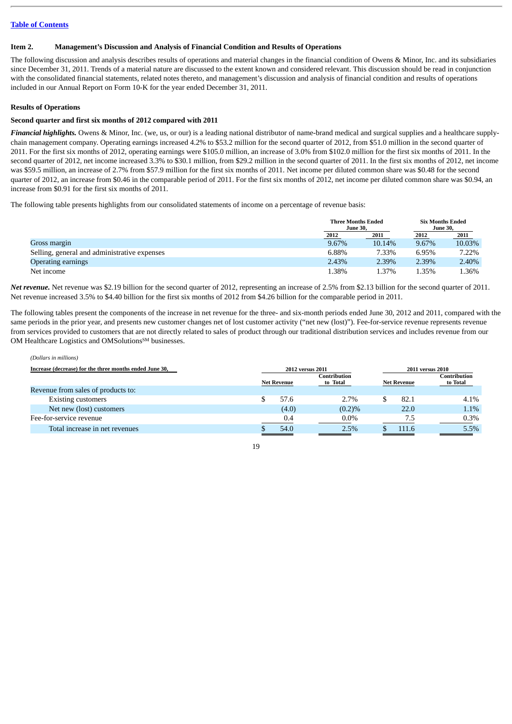### <span id="page-18-0"></span>**Item 2. Management's Discussion and Analysis of Financial Condition and Results of Operations**

The following discussion and analysis describes results of operations and material changes in the financial condition of Owens & Minor, Inc. and its subsidiaries since December 31, 2011. Trends of a material nature are discussed to the extent known and considered relevant. This discussion should be read in conjunction with the consolidated financial statements, related notes thereto, and management's discussion and analysis of financial condition and results of operations included in our Annual Report on Form 10-K for the year ended December 31, 2011.

### **Results of Operations**

### **Second quarter and first six months of 2012 compared with 2011**

*Financial highlights.* Owens & Minor, Inc. (we, us, or our) is a leading national distributor of name-brand medical and surgical supplies and a healthcare supplychain management company. Operating earnings increased 4.2% to \$53.2 million for the second quarter of 2012, from \$51.0 million in the second quarter of 2011. For the first six months of 2012, operating earnings were \$105.0 million, an increase of 3.0% from \$102.0 million for the first six months of 2011. In the second quarter of 2012, net income increased 3.3% to \$30.1 million, from \$29.2 million in the second quarter of 2011. In the first six months of 2012, net income was \$59.5 million, an increase of 2.7% from \$57.9 million for the first six months of 2011. Net income per diluted common share was \$0.48 for the second quarter of 2012, an increase from \$0.46 in the comparable period of 2011. For the first six months of 2012, net income per diluted common share was \$0.94, an increase from \$0.91 for the first six months of 2011.

The following table presents highlights from our consolidated statements of income on a percentage of revenue basis:

|                                              |       | <b>Three Months Ended</b><br><b>June 30.</b> |       | <b>Six Months Ended</b><br><b>June 30,</b> |
|----------------------------------------------|-------|----------------------------------------------|-------|--------------------------------------------|
|                                              | 2012  | 2011                                         | 2012  | 2011                                       |
| Gross margin                                 | 9.67% | 10.14%                                       | 9.67% | 10.03%                                     |
| Selling, general and administrative expenses | 6.88% | 7.33%                                        | 6.95% | 7.22%                                      |
| Operating earnings                           | 2.43% | 2.39%                                        | 2.39% | 2.40%                                      |
| Net income                                   | L.38% | 1.37%                                        | 1.35% | 1.36%                                      |

*Net revenue.* Net revenue was \$2.19 billion for the second quarter of 2012, representing an increase of 2.5% from \$2.13 billion for the second quarter of 2011. Net revenue increased 3.5% to \$4.40 billion for the first six months of 2012 from \$4.26 billion for the comparable period in 2011.

The following tables present the components of the increase in net revenue for the three- and six-month periods ended June 30, 2012 and 2011, compared with the same periods in the prior year, and presents new customer changes net of lost customer activity ("net new (lost)"). Fee-for-service revenue represents revenue from services provided to customers that are not directly related to sales of product through our traditional distribution services and includes revenue from our OM Healthcare Logistics and OMSolutions<sup>SM</sup> businesses.

| (Dollars in millions)                                   |                  |                    |          |  |                    |              |  |  |
|---------------------------------------------------------|------------------|--------------------|----------|--|--------------------|--------------|--|--|
| Increase (decrease) for the three months ended June 30, | 2012 versus 2011 |                    |          |  | 2011 versus 2010   |              |  |  |
|                                                         |                  | Contribution       |          |  |                    | Contribution |  |  |
|                                                         |                  | <b>Net Revenue</b> | to Total |  | <b>Net Revenue</b> | to Total     |  |  |
| Revenue from sales of products to:                      |                  |                    |          |  |                    |              |  |  |
| <b>Existing customers</b>                               |                  | 57.6               | 2.7%     |  | 82.1               | 4.1%         |  |  |
| Net new (lost) customers                                |                  | (4.0)              | (0.2)%   |  | 22.0               | 1.1%         |  |  |
| Fee-for-service revenue                                 |                  | 0.4                | $0.0\%$  |  | 7.5                | 0.3%         |  |  |
| Total increase in net revenues                          |                  | 54.0               | 2.5%     |  | 111.6              | 5.5%         |  |  |
|                                                         |                  |                    |          |  |                    |              |  |  |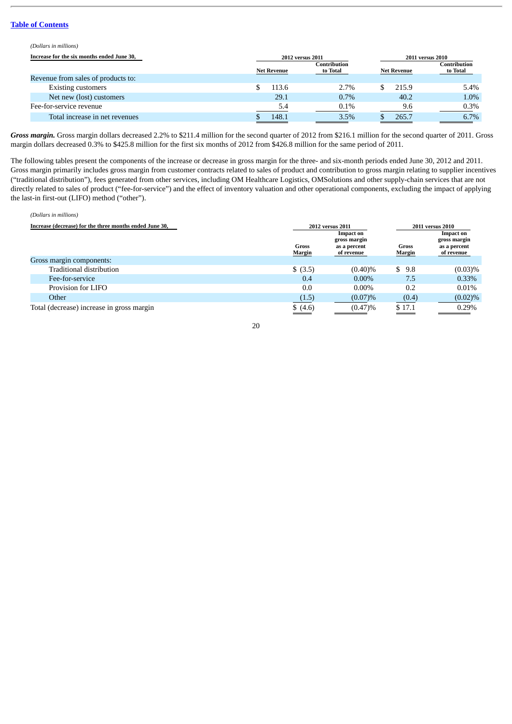*(Dollars in millions)*

| Increase for the six months ended June 30, |                    | 2012 versus 2011         | <b>2011 versus 2010</b> |                          |  |  |
|--------------------------------------------|--------------------|--------------------------|-------------------------|--------------------------|--|--|
|                                            | <b>Net Revenue</b> | Contribution<br>to Total | <b>Net Revenue</b>      | Contribution<br>to Total |  |  |
| Revenue from sales of products to:         |                    |                          |                         |                          |  |  |
| <b>Existing customers</b>                  | 113.6              | 2.7%                     | 215.9                   | 5.4%                     |  |  |
| Net new (lost) customers                   | 29.1               | 0.7%                     | 40.2                    | 1.0%                     |  |  |
| Fee-for-service revenue                    | 5.4                | 0.1%                     | 9.6                     | 0.3%                     |  |  |
| Total increase in net revenues             | 148.1              | 3.5%                     | 265.7                   | 6.7%                     |  |  |

*Gross margin.* Gross margin dollars decreased 2.2% to \$211.4 million for the second quarter of 2012 from \$216.1 million for the second quarter of 2011. Gross margin dollars decreased 0.3% to \$425.8 million for the first six months of 2012 from \$426.8 million for the same period of 2011.

The following tables present the components of the increase or decrease in gross margin for the three- and six-month periods ended June 30, 2012 and 2011. Gross margin primarily includes gross margin from customer contracts related to sales of product and contribution to gross margin relating to supplier incentives ("traditional distribution"), fees generated from other services, including OM Healthcare Logistics, OMSolutions and other supply-chain services that are not directly related to sales of product ("fee-for-service") and the effect of inventory valuation and other operational components, excluding the impact of applying the last-in first-out (LIFO) method ("other").

#### *(Dollars in millions)*

| Increase (decrease) for the three months ended June 30, |                        | 2012 versus 2011                                        | <b>2011 versus 2010</b> |                                                         |  |
|---------------------------------------------------------|------------------------|---------------------------------------------------------|-------------------------|---------------------------------------------------------|--|
|                                                         | <b>Gross</b><br>Margin | Impact on<br>gross margin<br>as a percent<br>of revenue | Gross<br><b>Margin</b>  | Impact on<br>gross margin<br>as a percent<br>of revenue |  |
| Gross margin components:                                |                        |                                                         |                         |                                                         |  |
| Traditional distribution                                | \$ (3.5)               | $(0.40)\%$                                              | \$9.8                   | $(0.03)\%$                                              |  |
| Fee-for-service                                         | 0.4                    | $0.00\%$                                                | 7.5                     | 0.33%                                                   |  |
| Provision for LIFO                                      | 0.0                    | $0.00\%$                                                | 0.2                     | 0.01%                                                   |  |
| Other                                                   | (1.5)                  | $(0.07)\%$                                              | (0.4)                   | $(0.02)\%$                                              |  |
| Total (decrease) increase in gross margin               | \$ (4.6)               | $(0.47)\%$                                              | \$17.1                  | 0.29%                                                   |  |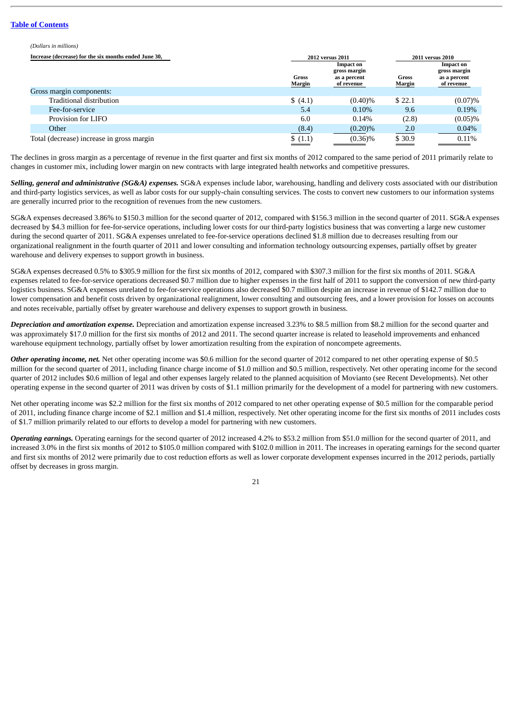*(Dollars in millions)*

| Increase (decrease) for the six months ended June 30, |                        | 2012 versus 2011                                               |                        | 2011 versus 2010                                        |
|-------------------------------------------------------|------------------------|----------------------------------------------------------------|------------------------|---------------------------------------------------------|
|                                                       | <b>Gross</b><br>Margin | <b>Impact on</b><br>gross margin<br>as a percent<br>of revenue | Gross<br><b>Margin</b> | Impact on<br>gross margin<br>as a percent<br>of revenue |
| Gross margin components:                              |                        |                                                                |                        |                                                         |
| Traditional distribution                              | \$(4.1)                | $(0.40)\%$                                                     | \$22.1                 | $(0.07)\%$                                              |
| Fee-for-service                                       | 5.4                    | $0.10\%$                                                       | 9.6                    | 0.19%                                                   |
| Provision for LIFO                                    | 6.0                    | 0.14%                                                          | (2.8)                  | $(0.05)\%$                                              |
| Other                                                 | (8.4)                  | $(0.20)\%$                                                     | 2.0                    | 0.04%                                                   |
| Total (decrease) increase in gross margin             | \$(1.1)                | $(0.36)\%$                                                     | \$30.9                 | 0.11%                                                   |

The declines in gross margin as a percentage of revenue in the first quarter and first six months of 2012 compared to the same period of 2011 primarily relate to changes in customer mix, including lower margin on new contracts with large integrated health networks and competitive pressures.

*Selling, general and administrative (SG&A) expenses.* SG&A expenses include labor, warehousing, handling and delivery costs associated with our distribution and third-party logistics services, as well as labor costs for our supply-chain consulting services. The costs to convert new customers to our information systems are generally incurred prior to the recognition of revenues from the new customers.

SG&A expenses decreased 3.86% to \$150.3 million for the second quarter of 2012, compared with \$156.3 million in the second quarter of 2011. SG&A expenses decreased by \$4.3 million for fee-for-service operations, including lower costs for our third-party logistics business that was converting a large new customer during the second quarter of 2011. SG&A expenses unrelated to fee-for-service operations declined \$1.8 million due to decreases resulting from our organizational realignment in the fourth quarter of 2011 and lower consulting and information technology outsourcing expenses, partially offset by greater warehouse and delivery expenses to support growth in business.

SG&A expenses decreased 0.5% to \$305.9 million for the first six months of 2012, compared with \$307.3 million for the first six months of 2011. SG&A expenses related to fee-for-service operations decreased \$0.7 million due to higher expenses in the first half of 2011 to support the conversion of new third-party logistics business. SG&A expenses unrelated to fee-for-service operations also decreased \$0.7 million despite an increase in revenue of \$142.7 million due to lower compensation and benefit costs driven by organizational realignment, lower consulting and outsourcing fees, and a lower provision for losses on accounts and notes receivable, partially offset by greater warehouse and delivery expenses to support growth in business.

*Depreciation and amortization expense.* Depreciation and amortization expense increased 3.23% to \$8.5 million from \$8.2 million for the second quarter and was approximately \$17.0 million for the first six months of 2012 and 2011. The second quarter increase is related to leasehold improvements and enhanced warehouse equipment technology, partially offset by lower amortization resulting from the expiration of noncompete agreements.

*Other operating income, net.* Net other operating income was \$0.6 million for the second quarter of 2012 compared to net other operating expense of \$0.5 million for the second quarter of 2011, including finance charge income of \$1.0 million and \$0.5 million, respectively. Net other operating income for the second quarter of 2012 includes \$0.6 million of legal and other expenses largely related to the planned acquisition of Movianto (see Recent Developments). Net other operating expense in the second quarter of 2011 was driven by costs of \$1.1 million primarily for the development of a model for partnering with new customers.

Net other operating income was \$2.2 million for the first six months of 2012 compared to net other operating expense of \$0.5 million for the comparable period of 2011, including finance charge income of \$2.1 million and \$1.4 million, respectively. Net other operating income for the first six months of 2011 includes costs of \$1.7 million primarily related to our efforts to develop a model for partnering with new customers.

*Operating earnings.* Operating earnings for the second quarter of 2012 increased 4.2% to \$53.2 million from \$51.0 million for the second quarter of 2011, and increased 3.0% in the first six months of 2012 to \$105.0 million compared with \$102.0 million in 2011. The increases in operating earnings for the second quarter and first six months of 2012 were primarily due to cost reduction efforts as well as lower corporate development expenses incurred in the 2012 periods, partially offset by decreases in gross margin.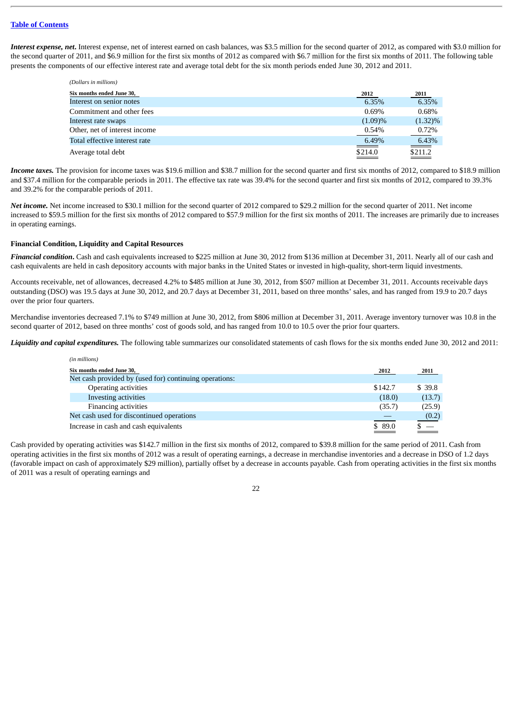*Interest expense, net***.** Interest expense, net of interest earned on cash balances, was \$3.5 million for the second quarter of 2012, as compared with \$3.0 million for the second quarter of 2011, and \$6.9 million for the first six months of 2012 as compared with \$6.7 million for the first six months of 2011. The following table presents the components of our effective interest rate and average total debt for the six month periods ended June 30, 2012 and 2011.

| (Dollars in millions)         |            |                 |
|-------------------------------|------------|-----------------|
| Six months ended June 30,     | 2012       | 2011            |
| Interest on senior notes      | 6.35%      | 6.35%           |
| Commitment and other fees     | 0.69%      | 0.68%           |
| Interest rate swaps           | $(1.09)\%$ | $(1.32)\%$      |
| Other, net of interest income | 0.54%      | 0.72%           |
| Total effective interest rate | 6.49%      | 6.43%           |
| Average total debt            | \$214.0    | ____<br>\$211.2 |
|                               |            |                 |

*Income taxes.* The provision for income taxes was \$19.6 million and \$38.7 million for the second quarter and first six months of 2012, compared to \$18.9 million and \$37.4 million for the comparable periods in 2011. The effective tax rate was 39.4% for the second quarter and first six months of 2012, compared to 39.3% and 39.2% for the comparable periods of 2011.

*Net income.* Net income increased to \$30.1 million for the second quarter of 2012 compared to \$29.2 million for the second quarter of 2011. Net income increased to \$59.5 million for the first six months of 2012 compared to \$57.9 million for the first six months of 2011. The increases are primarily due to increases in operating earnings.

### **Financial Condition, Liquidity and Capital Resources**

*Financial condition***.** Cash and cash equivalents increased to \$225 million at June 30, 2012 from \$136 million at December 31, 2011. Nearly all of our cash and cash equivalents are held in cash depository accounts with major banks in the United States or invested in high-quality, short-term liquid investments.

Accounts receivable, net of allowances, decreased 4.2% to \$485 million at June 30, 2012, from \$507 million at December 31, 2011. Accounts receivable days outstanding (DSO) was 19.5 days at June 30, 2012, and 20.7 days at December 31, 2011, based on three months' sales, and has ranged from 19.9 to 20.7 days over the prior four quarters.

Merchandise inventories decreased 7.1% to \$749 million at June 30, 2012, from \$806 million at December 31, 2011. Average inventory turnover was 10.8 in the second quarter of 2012, based on three months' cost of goods sold, and has ranged from 10.0 to 10.5 over the prior four quarters.

*Liquidity and capital expenditures.* The following table summarizes our consolidated statements of cash flows for the six months ended June 30, 2012 and 2011:

| (in millions)                                          |         |         |
|--------------------------------------------------------|---------|---------|
| Six months ended June 30,                              | 2012    | 2011    |
| Net cash provided by (used for) continuing operations: |         |         |
| <b>Operating activities</b>                            | \$142.7 | \$ 39.8 |
| Investing activities                                   | (18.0)  | (13.7)  |
| <b>Financing activities</b>                            | (35.7)  | (25.9)  |
| Net cash used for discontinued operations              |         | (0.2)   |
| Increase in cash and cash equivalents                  | \$89.0  |         |

Cash provided by operating activities was \$142.7 million in the first six months of 2012, compared to \$39.8 million for the same period of 2011. Cash from operating activities in the first six months of 2012 was a result of operating earnings, a decrease in merchandise inventories and a decrease in DSO of 1.2 days (favorable impact on cash of approximately \$29 million), partially offset by a decrease in accounts payable. Cash from operating activities in the first six months of 2011 was a result of operating earnings and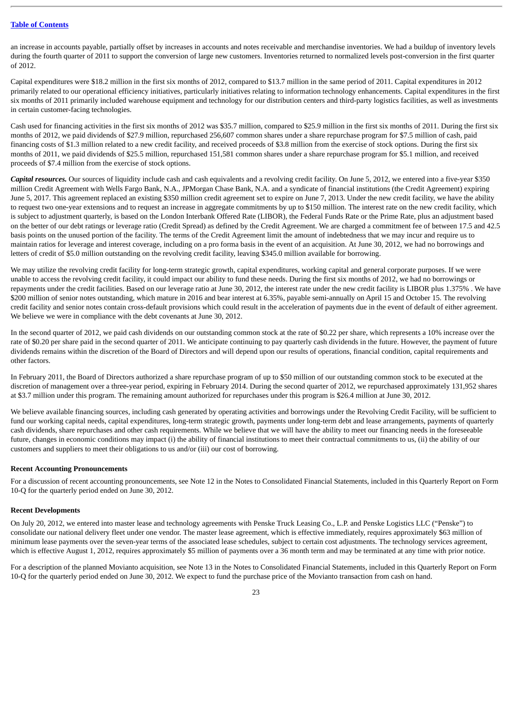an increase in accounts payable, partially offset by increases in accounts and notes receivable and merchandise inventories. We had a buildup of inventory levels during the fourth quarter of 2011 to support the conversion of large new customers. Inventories returned to normalized levels post-conversion in the first quarter of 2012.

Capital expenditures were \$18.2 million in the first six months of 2012, compared to \$13.7 million in the same period of 2011. Capital expenditures in 2012 primarily related to our operational efficiency initiatives, particularly initiatives relating to information technology enhancements. Capital expenditures in the first six months of 2011 primarily included warehouse equipment and technology for our distribution centers and third-party logistics facilities, as well as investments in certain customer-facing technologies.

Cash used for financing activities in the first six months of 2012 was \$35.7 million, compared to \$25.9 million in the first six months of 2011. During the first six months of 2012, we paid dividends of \$27.9 million, repurchased 256,607 common shares under a share repurchase program for \$7.5 million of cash, paid financing costs of \$1.3 million related to a new credit facility, and received proceeds of \$3.8 million from the exercise of stock options. During the first six months of 2011, we paid dividends of \$25.5 million, repurchased 151,581 common shares under a share repurchase program for \$5.1 million, and received proceeds of \$7.4 million from the exercise of stock options.

*Capital resources.* Our sources of liquidity include cash and cash equivalents and a revolving credit facility. On June 5, 2012, we entered into a five-year \$350 million Credit Agreement with Wells Fargo Bank, N.A., JPMorgan Chase Bank, N.A. and a syndicate of financial institutions (the Credit Agreement) expiring June 5, 2017. This agreement replaced an existing \$350 million credit agreement set to expire on June 7, 2013. Under the new credit facility, we have the ability to request two one-year extensions and to request an increase in aggregate commitments by up to \$150 million. The interest rate on the new credit facility, which is subject to adjustment quarterly, is based on the London Interbank Offered Rate (LIBOR), the Federal Funds Rate or the Prime Rate, plus an adjustment based on the better of our debt ratings or leverage ratio (Credit Spread) as defined by the Credit Agreement. We are charged a commitment fee of between 17.5 and 42.5 basis points on the unused portion of the facility. The terms of the Credit Agreement limit the amount of indebtedness that we may incur and require us to maintain ratios for leverage and interest coverage, including on a pro forma basis in the event of an acquisition. At June 30, 2012, we had no borrowings and letters of credit of \$5.0 million outstanding on the revolving credit facility, leaving \$345.0 million available for borrowing.

We may utilize the revolving credit facility for long-term strategic growth, capital expenditures, working capital and general corporate purposes. If we were unable to access the revolving credit facility, it could impact our ability to fund these needs. During the first six months of 2012, we had no borrowings or repayments under the credit facilities. Based on our leverage ratio at June 30, 2012, the interest rate under the new credit facility is LIBOR plus 1.375% . We have \$200 million of senior notes outstanding, which mature in 2016 and bear interest at 6.35%, payable semi-annually on April 15 and October 15. The revolving credit facility and senior notes contain cross-default provisions which could result in the acceleration of payments due in the event of default of either agreement. We believe we were in compliance with the debt covenants at June 30, 2012.

In the second quarter of 2012, we paid cash dividends on our outstanding common stock at the rate of \$0.22 per share, which represents a 10% increase over the rate of \$0.20 per share paid in the second quarter of 2011. We anticipate continuing to pay quarterly cash dividends in the future. However, the payment of future dividends remains within the discretion of the Board of Directors and will depend upon our results of operations, financial condition, capital requirements and other factors.

In February 2011, the Board of Directors authorized a share repurchase program of up to \$50 million of our outstanding common stock to be executed at the discretion of management over a three-year period, expiring in February 2014. During the second quarter of 2012, we repurchased approximately 131,952 shares at \$3.7 million under this program. The remaining amount authorized for repurchases under this program is \$26.4 million at June 30, 2012.

We believe available financing sources, including cash generated by operating activities and borrowings under the Revolving Credit Facility, will be sufficient to fund our working capital needs, capital expenditures, long-term strategic growth, payments under long-term debt and lease arrangements, payments of quarterly cash dividends, share repurchases and other cash requirements. While we believe that we will have the ability to meet our financing needs in the foreseeable future, changes in economic conditions may impact (i) the ability of financial institutions to meet their contractual commitments to us, (ii) the ability of our customers and suppliers to meet their obligations to us and/or (iii) our cost of borrowing.

#### **Recent Accounting Pronouncements**

For a discussion of recent accounting pronouncements, see Note 12 in the Notes to Consolidated Financial Statements, included in this Quarterly Report on Form 10-Q for the quarterly period ended on June 30, 2012.

#### **Recent Developments**

On July 20, 2012, we entered into master lease and technology agreements with Penske Truck Leasing Co., L.P. and Penske Logistics LLC ("Penske") to consolidate our national delivery fleet under one vendor. The master lease agreement, which is effective immediately, requires approximately \$63 million of minimum lease payments over the seven-year terms of the associated lease schedules, subject to certain cost adjustments. The technology services agreement, which is effective August 1, 2012, requires approximately \$5 million of payments over a 36 month term and may be terminated at any time with prior notice.

For a description of the planned Movianto acquisition, see Note 13 in the Notes to Consolidated Financial Statements, included in this Quarterly Report on Form 10-Q for the quarterly period ended on June 30, 2012. We expect to fund the purchase price of the Movianto transaction from cash on hand.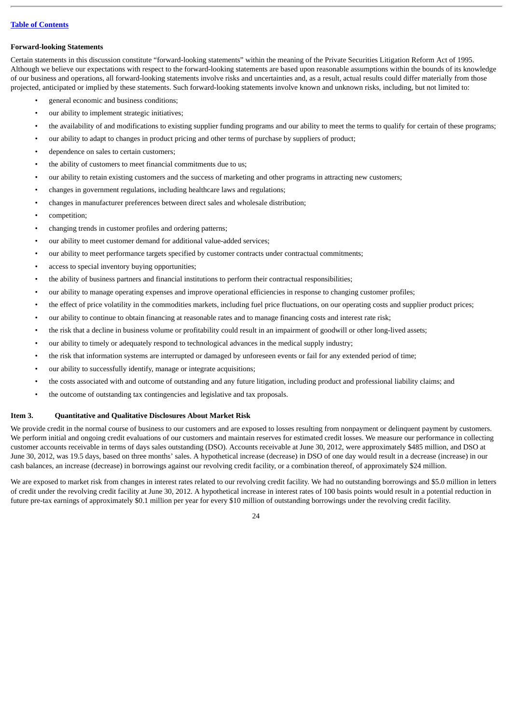#### **Forward-looking Statements**

Certain statements in this discussion constitute "forward-looking statements" within the meaning of the Private Securities Litigation Reform Act of 1995. Although we believe our expectations with respect to the forward-looking statements are based upon reasonable assumptions within the bounds of its knowledge of our business and operations, all forward-looking statements involve risks and uncertainties and, as a result, actual results could differ materially from those projected, anticipated or implied by these statements. Such forward-looking statements involve known and unknown risks, including, but not limited to:

- general economic and business conditions;
- our ability to implement strategic initiatives;
- the availability of and modifications to existing supplier funding programs and our ability to meet the terms to qualify for certain of these programs;
- our ability to adapt to changes in product pricing and other terms of purchase by suppliers of product;
- dependence on sales to certain customers;
- the ability of customers to meet financial commitments due to us;
- our ability to retain existing customers and the success of marketing and other programs in attracting new customers;
- changes in government regulations, including healthcare laws and regulations;
- changes in manufacturer preferences between direct sales and wholesale distribution;
- competition;
- changing trends in customer profiles and ordering patterns;
- our ability to meet customer demand for additional value-added services;
- our ability to meet performance targets specified by customer contracts under contractual commitments;
- access to special inventory buying opportunities;
- the ability of business partners and financial institutions to perform their contractual responsibilities;
- our ability to manage operating expenses and improve operational efficiencies in response to changing customer profiles;
- the effect of price volatility in the commodities markets, including fuel price fluctuations, on our operating costs and supplier product prices;
- our ability to continue to obtain financing at reasonable rates and to manage financing costs and interest rate risk;
- the risk that a decline in business volume or profitability could result in an impairment of goodwill or other long-lived assets;
- our ability to timely or adequately respond to technological advances in the medical supply industry;
- the risk that information systems are interrupted or damaged by unforeseen events or fail for any extended period of time;
- our ability to successfully identify, manage or integrate acquisitions;
- the costs associated with and outcome of outstanding and any future litigation, including product and professional liability claims; and
- the outcome of outstanding tax contingencies and legislative and tax proposals.

#### <span id="page-23-0"></span>**Item 3. Quantitative and Qualitative Disclosures About Market Risk**

We provide credit in the normal course of business to our customers and are exposed to losses resulting from nonpayment or delinquent payment by customers. We perform initial and ongoing credit evaluations of our customers and maintain reserves for estimated credit losses. We measure our performance in collecting customer accounts receivable in terms of days sales outstanding (DSO). Accounts receivable at June 30, 2012, were approximately \$485 million, and DSO at June 30, 2012, was 19.5 days, based on three months' sales. A hypothetical increase (decrease) in DSO of one day would result in a decrease (increase) in our cash balances, an increase (decrease) in borrowings against our revolving credit facility, or a combination thereof, of approximately \$24 million.

We are exposed to market risk from changes in interest rates related to our revolving credit facility. We had no outstanding borrowings and \$5.0 million in letters of credit under the revolving credit facility at June 30, 2012. A hypothetical increase in interest rates of 100 basis points would result in a potential reduction in future pre-tax earnings of approximately \$0.1 million per year for every \$10 million of outstanding borrowings under the revolving credit facility.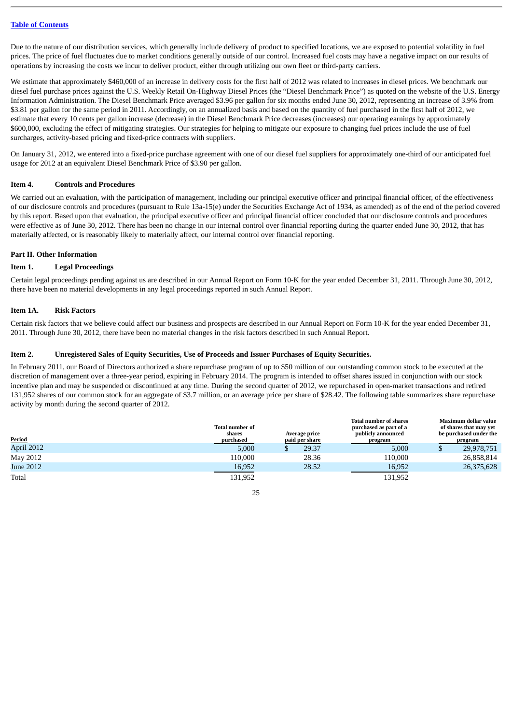Due to the nature of our distribution services, which generally include delivery of product to specified locations, we are exposed to potential volatility in fuel prices. The price of fuel fluctuates due to market conditions generally outside of our control. Increased fuel costs may have a negative impact on our results of operations by increasing the costs we incur to deliver product, either through utilizing our own fleet or third-party carriers.

We estimate that approximately \$460,000 of an increase in delivery costs for the first half of 2012 was related to increases in diesel prices. We benchmark our diesel fuel purchase prices against the U.S. Weekly Retail On-Highway Diesel Prices (the "Diesel Benchmark Price") as quoted on the website of the U.S. Energy Information Administration. The Diesel Benchmark Price averaged \$3.96 per gallon for six months ended June 30, 2012, representing an increase of 3.9% from \$3.81 per gallon for the same period in 2011. Accordingly, on an annualized basis and based on the quantity of fuel purchased in the first half of 2012, we estimate that every 10 cents per gallon increase (decrease) in the Diesel Benchmark Price decreases (increases) our operating earnings by approximately \$600,000, excluding the effect of mitigating strategies. Our strategies for helping to mitigate our exposure to changing fuel prices include the use of fuel surcharges, activity-based pricing and fixed-price contracts with suppliers.

On January 31, 2012, we entered into a fixed-price purchase agreement with one of our diesel fuel suppliers for approximately one-third of our anticipated fuel usage for 2012 at an equivalent Diesel Benchmark Price of \$3.90 per gallon.

### <span id="page-24-0"></span>**Item 4. Controls and Procedures**

We carried out an evaluation, with the participation of management, including our principal executive officer and principal financial officer, of the effectiveness of our disclosure controls and procedures (pursuant to Rule 13a-15(e) under the Securities Exchange Act of 1934, as amended) as of the end of the period covered by this report. Based upon that evaluation, the principal executive officer and principal financial officer concluded that our disclosure controls and procedures were effective as of June 30, 2012. There has been no change in our internal control over financial reporting during the quarter ended June 30, 2012, that has materially affected, or is reasonably likely to materially affect, our internal control over financial reporting.

#### **Part II. Other Information**

### <span id="page-24-1"></span>**Item 1. Legal Proceedings**

Certain legal proceedings pending against us are described in our Annual Report on Form 10-K for the year ended December 31, 2011. Through June 30, 2012, there have been no material developments in any legal proceedings reported in such Annual Report.

#### <span id="page-24-2"></span>**Item 1A. Risk Factors**

Certain risk factors that we believe could affect our business and prospects are described in our Annual Report on Form 10-K for the year ended December 31, 2011. Through June 30, 2012, there have been no material changes in the risk factors described in such Annual Report.

### <span id="page-24-3"></span>**Item 2. Unregistered Sales of Equity Securities, Use of Proceeds and Issuer Purchases of Equity Securities.**

In February 2011, our Board of Directors authorized a share repurchase program of up to \$50 million of our outstanding common stock to be executed at the discretion of management over a three-year period, expiring in February 2014. The program is intended to offset shares issued in conjunction with our stock incentive plan and may be suspended or discontinued at any time. During the second quarter of 2012, we repurchased in open-market transactions and retired 131,952 shares of our common stock for an aggregate of \$3.7 million, or an average price per share of \$28.42. The following table summarizes share repurchase activity by month during the second quarter of 2012.

| <b>Period</b> | <b>Total number of</b><br>shares<br>purchased | Average price<br>paid per share | <b>Total number of shares</b><br>purchased as part of a<br>publicly announced<br>program | Maximum dollar value<br>of shares that may yet<br>be purchased under the<br>program |
|---------------|-----------------------------------------------|---------------------------------|------------------------------------------------------------------------------------------|-------------------------------------------------------------------------------------|
| April 2012    | 5,000                                         | 29.37                           | 5,000                                                                                    | 29,978,751<br>D                                                                     |
| May 2012      | 110.000                                       | 28.36                           | 110,000                                                                                  | 26,858,814                                                                          |
| June 2012     | 16,952                                        | 28.52                           | 16.952                                                                                   | 26,375,628                                                                          |
| Total         | 131,952                                       |                                 | 131,952                                                                                  |                                                                                     |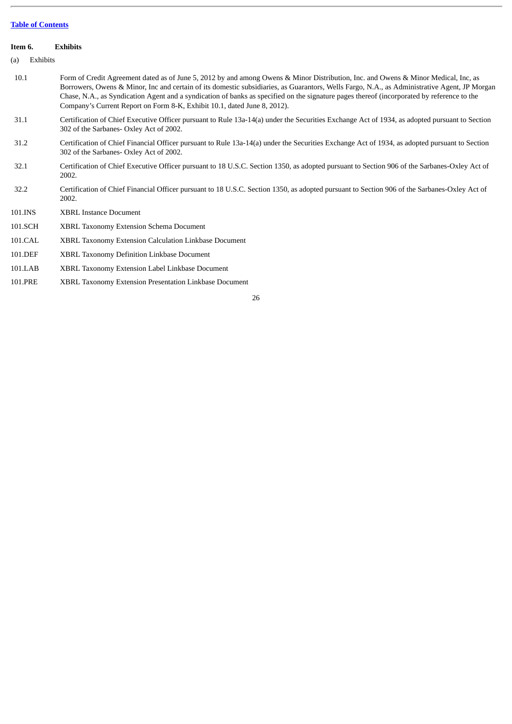<span id="page-25-0"></span>

| Item 6. | <b>Exhibits</b> |
|---------|-----------------|
|         |                 |

(a) Exhibits

- 10.1 Form of Credit Agreement dated as of June 5, 2012 by and among Owens & Minor Distribution, Inc. and Owens & Minor Medical, Inc, as Borrowers, Owens & Minor, Inc and certain of its domestic subsidiaries, as Guarantors, Wells Fargo, N.A., as Administrative Agent, JP Morgan Chase, N.A., as Syndication Agent and a syndication of banks as specified on the signature pages thereof (incorporated by reference to the Company's Current Report on Form 8-K, Exhibit 10.1, dated June 8, 2012).
- 31.1 Certification of Chief Executive Officer pursuant to Rule 13a-14(a) under the Securities Exchange Act of 1934, as adopted pursuant to Section 302 of the Sarbanes- Oxley Act of 2002.
- 31.2 Certification of Chief Financial Officer pursuant to Rule 13a-14(a) under the Securities Exchange Act of 1934, as adopted pursuant to Section 302 of the Sarbanes- Oxley Act of 2002.
- 32.1 Certification of Chief Executive Officer pursuant to 18 U.S.C. Section 1350, as adopted pursuant to Section 906 of the Sarbanes-Oxley Act of 2002.
- 32.2 Certification of Chief Financial Officer pursuant to 18 U.S.C. Section 1350, as adopted pursuant to Section 906 of the Sarbanes-Oxley Act of 2002.
- 101.INS XBRL Instance Document
- 101.SCH XBRL Taxonomy Extension Schema Document
- 101.CAL XBRL Taxonomy Extension Calculation Linkbase Document
- 101.DEF XBRL Taxonomy Definition Linkbase Document
- 101.LAB XBRL Taxonomy Extension Label Linkbase Document
- 101.PRE XBRL Taxonomy Extension Presentation Linkbase Document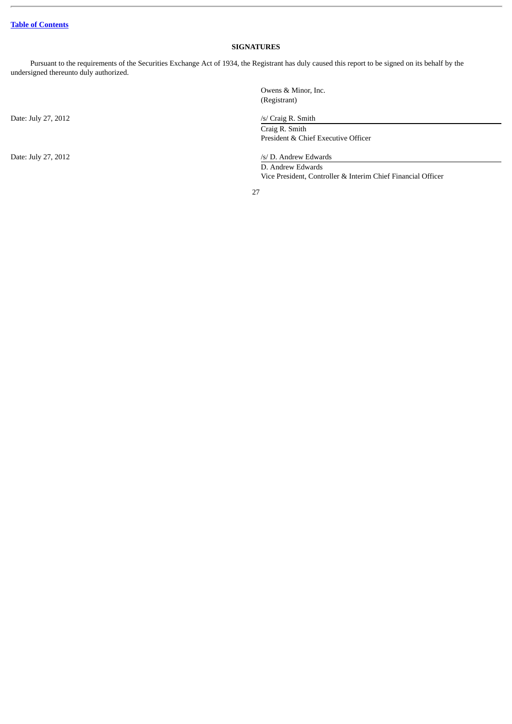### **SIGNATURES**

Pursuant to the requirements of the Securities Exchange Act of 1934, the Registrant has duly caused this report to be signed on its behalf by the undersigned thereunto duly authorized.

Date: July 27, 2012 /s/ Craig R. Smith

Owens & Minor, Inc. (Registrant)

Craig R. Smith President & Chief Executive Officer

Date: July 27, 2012 /s/ D. Andrew Edwards

D. Andrew Edwards Vice President, Controller & Interim Chief Financial Officer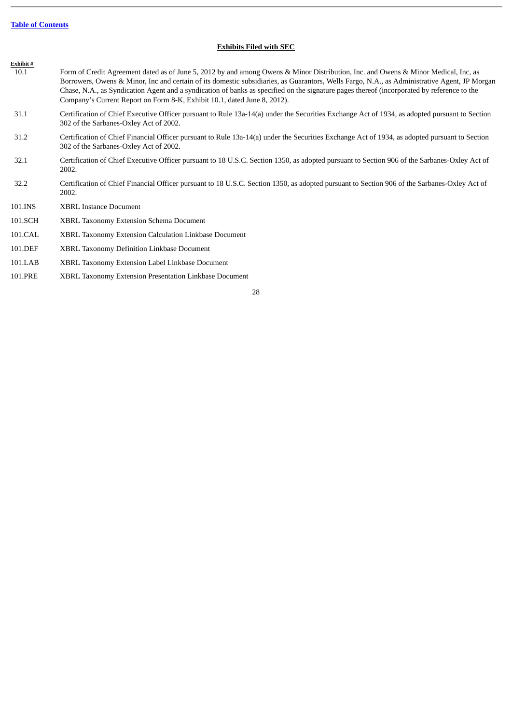### **Exhibits Filed with SEC**

| Exhibit# |                                                                                                                                                                                                                                                                                                                                                                                                                                                                                                              |
|----------|--------------------------------------------------------------------------------------------------------------------------------------------------------------------------------------------------------------------------------------------------------------------------------------------------------------------------------------------------------------------------------------------------------------------------------------------------------------------------------------------------------------|
| 10.1     | Form of Credit Agreement dated as of June 5, 2012 by and among Owens & Minor Distribution, Inc. and Owens & Minor Medical, Inc. as<br>Borrowers, Owens & Minor, Inc and certain of its domestic subsidiaries, as Guarantors, Wells Fargo, N.A., as Administrative Agent, JP Morgan<br>Chase, N.A., as Syndication Agent and a syndication of banks as specified on the signature pages thereof (incorporated by reference to the<br>Company's Current Report on Form 8-K, Exhibit 10.1, dated June 8, 2012). |
| 31.1     | Certification of Chief Executive Officer pursuant to Rule 13a-14(a) under the Securities Exchange Act of 1934, as adopted pursuant to Section<br>302 of the Sarbanes-Oxley Act of 2002.                                                                                                                                                                                                                                                                                                                      |
| 31.2     | Certification of Chief Financial Officer pursuant to Rule 13a-14(a) under the Securities Exchange Act of 1934, as adopted pursuant to Section<br>302 of the Sarbanes-Oxley Act of 2002.                                                                                                                                                                                                                                                                                                                      |
| 32.1     | Certification of Chief Executive Officer pursuant to 18 U.S.C. Section 1350, as adopted pursuant to Section 906 of the Sarbanes-Oxley Act of<br>2002.                                                                                                                                                                                                                                                                                                                                                        |
| 32.2     | Certification of Chief Financial Officer pursuant to 18 U.S.C. Section 1350, as adopted pursuant to Section 906 of the Sarbanes-Oxley Act of<br>2002.                                                                                                                                                                                                                                                                                                                                                        |
| 101.INS  | <b>XBRL Instance Document</b>                                                                                                                                                                                                                                                                                                                                                                                                                                                                                |
| 101.SCH  | XBRL Taxonomy Extension Schema Document                                                                                                                                                                                                                                                                                                                                                                                                                                                                      |
| 101.CAL  | XBRL Taxonomy Extension Calculation Linkbase Document                                                                                                                                                                                                                                                                                                                                                                                                                                                        |
| 101.DEF  | XBRL Taxonomy Definition Linkbase Document                                                                                                                                                                                                                                                                                                                                                                                                                                                                   |
| 101.LAB  | XBRL Taxonomy Extension Label Linkbase Document                                                                                                                                                                                                                                                                                                                                                                                                                                                              |

101.PRE XBRL Taxonomy Extension Presentation Linkbase Document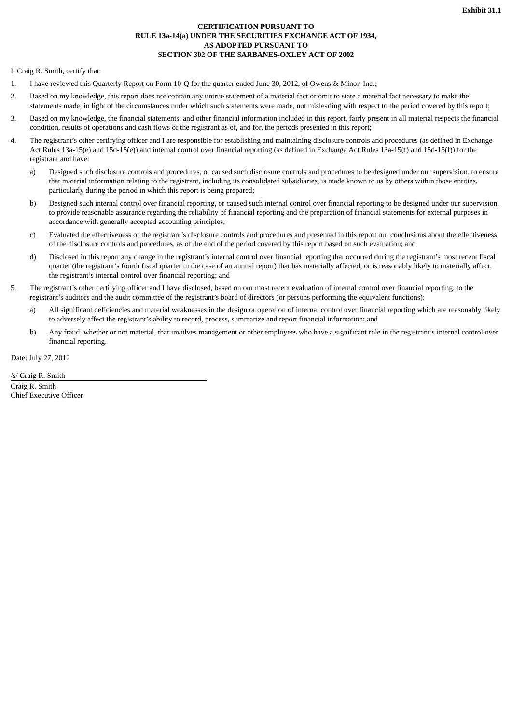### **CERTIFICATION PURSUANT TO RULE 13a-14(a) UNDER THE SECURITIES EXCHANGE ACT OF 1934, AS ADOPTED PURSUANT TO SECTION 302 OF THE SARBANES-OXLEY ACT OF 2002**

I, Craig R. Smith, certify that:

- 1. I have reviewed this Quarterly Report on Form 10-Q for the quarter ended June 30, 2012, of Owens & Minor, Inc.;
- 2. Based on my knowledge, this report does not contain any untrue statement of a material fact or omit to state a material fact necessary to make the statements made, in light of the circumstances under which such statements were made, not misleading with respect to the period covered by this report;
- 3. Based on my knowledge, the financial statements, and other financial information included in this report, fairly present in all material respects the financial condition, results of operations and cash flows of the registrant as of, and for, the periods presented in this report;
- 4. The registrant's other certifying officer and I are responsible for establishing and maintaining disclosure controls and procedures (as defined in Exchange Act Rules 13a-15(e) and 15d-15(e)) and internal control over financial reporting (as defined in Exchange Act Rules 13a-15(f) and 15d-15(f)) for the registrant and have:
	- a) Designed such disclosure controls and procedures, or caused such disclosure controls and procedures to be designed under our supervision, to ensure that material information relating to the registrant, including its consolidated subsidiaries, is made known to us by others within those entities, particularly during the period in which this report is being prepared;
	- b) Designed such internal control over financial reporting, or caused such internal control over financial reporting to be designed under our supervision, to provide reasonable assurance regarding the reliability of financial reporting and the preparation of financial statements for external purposes in accordance with generally accepted accounting principles;
	- c) Evaluated the effectiveness of the registrant's disclosure controls and procedures and presented in this report our conclusions about the effectiveness of the disclosure controls and procedures, as of the end of the period covered by this report based on such evaluation; and
	- d) Disclosed in this report any change in the registrant's internal control over financial reporting that occurred during the registrant's most recent fiscal quarter (the registrant's fourth fiscal quarter in the case of an annual report) that has materially affected, or is reasonably likely to materially affect, the registrant's internal control over financial reporting; and
- 5. The registrant's other certifying officer and I have disclosed, based on our most recent evaluation of internal control over financial reporting, to the registrant's auditors and the audit committee of the registrant's board of directors (or persons performing the equivalent functions):
	- a) All significant deficiencies and material weaknesses in the design or operation of internal control over financial reporting which are reasonably likely to adversely affect the registrant's ability to record, process, summarize and report financial information; and
	- b) Any fraud, whether or not material, that involves management or other employees who have a significant role in the registrant's internal control over financial reporting.

Date: July 27, 2012

/s/ Craig R. Smith Craig R. Smith Chief Executive Officer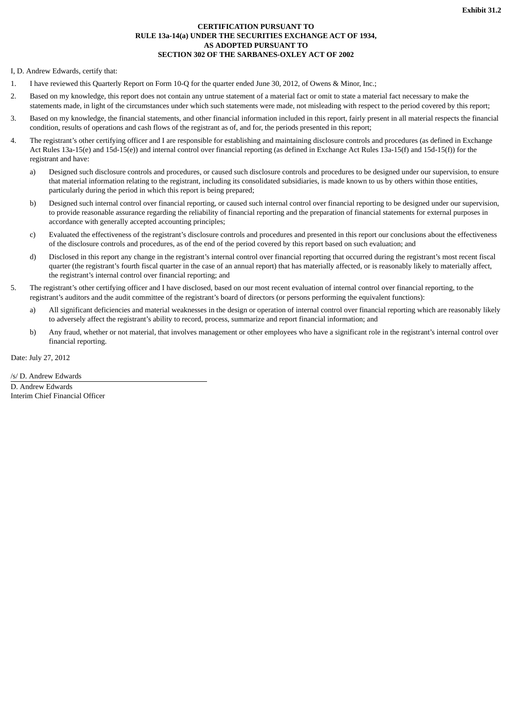### **CERTIFICATION PURSUANT TO RULE 13a-14(a) UNDER THE SECURITIES EXCHANGE ACT OF 1934, AS ADOPTED PURSUANT TO SECTION 302 OF THE SARBANES-OXLEY ACT OF 2002**

I, D. Andrew Edwards, certify that:

- 1. I have reviewed this Quarterly Report on Form 10-Q for the quarter ended June 30, 2012, of Owens & Minor, Inc.;
- 2. Based on my knowledge, this report does not contain any untrue statement of a material fact or omit to state a material fact necessary to make the statements made, in light of the circumstances under which such statements were made, not misleading with respect to the period covered by this report;
- 3. Based on my knowledge, the financial statements, and other financial information included in this report, fairly present in all material respects the financial condition, results of operations and cash flows of the registrant as of, and for, the periods presented in this report;
- 4. The registrant's other certifying officer and I are responsible for establishing and maintaining disclosure controls and procedures (as defined in Exchange Act Rules 13a-15(e) and 15d-15(e)) and internal control over financial reporting (as defined in Exchange Act Rules 13a-15(f) and 15d-15(f)) for the registrant and have:
	- a) Designed such disclosure controls and procedures, or caused such disclosure controls and procedures to be designed under our supervision, to ensure that material information relating to the registrant, including its consolidated subsidiaries, is made known to us by others within those entities, particularly during the period in which this report is being prepared;
	- b) Designed such internal control over financial reporting, or caused such internal control over financial reporting to be designed under our supervision, to provide reasonable assurance regarding the reliability of financial reporting and the preparation of financial statements for external purposes in accordance with generally accepted accounting principles;
	- c) Evaluated the effectiveness of the registrant's disclosure controls and procedures and presented in this report our conclusions about the effectiveness of the disclosure controls and procedures, as of the end of the period covered by this report based on such evaluation; and
	- d) Disclosed in this report any change in the registrant's internal control over financial reporting that occurred during the registrant's most recent fiscal quarter (the registrant's fourth fiscal quarter in the case of an annual report) that has materially affected, or is reasonably likely to materially affect, the registrant's internal control over financial reporting; and
- 5. The registrant's other certifying officer and I have disclosed, based on our most recent evaluation of internal control over financial reporting, to the registrant's auditors and the audit committee of the registrant's board of directors (or persons performing the equivalent functions):
	- a) All significant deficiencies and material weaknesses in the design or operation of internal control over financial reporting which are reasonably likely to adversely affect the registrant's ability to record, process, summarize and report financial information; and
	- b) Any fraud, whether or not material, that involves management or other employees who have a significant role in the registrant's internal control over financial reporting.

Date: July 27, 2012

/s/ D. Andrew Edwards

D. Andrew Edwards Interim Chief Financial Officer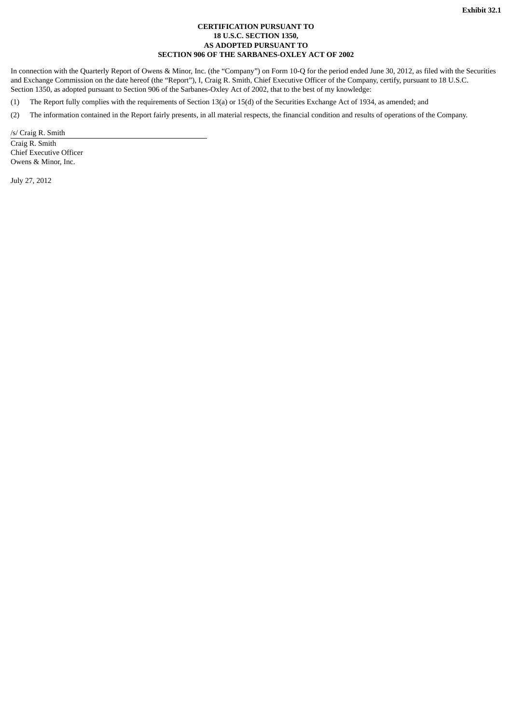### **CERTIFICATION PURSUANT TO 18 U.S.C. SECTION 1350, AS ADOPTED PURSUANT TO SECTION 906 OF THE SARBANES-OXLEY ACT OF 2002**

In connection with the Quarterly Report of Owens & Minor, Inc. (the "Company") on Form 10-Q for the period ended June 30, 2012, as filed with the Securities and Exchange Commission on the date hereof (the "Report"), I, Craig R. Smith, Chief Executive Officer of the Company, certify, pursuant to 18 U.S.C. Section 1350, as adopted pursuant to Section 906 of the Sarbanes-Oxley Act of 2002, that to the best of my knowledge:

(1) The Report fully complies with the requirements of Section 13(a) or 15(d) of the Securities Exchange Act of 1934, as amended; and

(2) The information contained in the Report fairly presents, in all material respects, the financial condition and results of operations of the Company.

/s/ Craig R. Smith

Craig R. Smith Chief Executive Officer Owens & Minor, Inc.

July 27, 2012